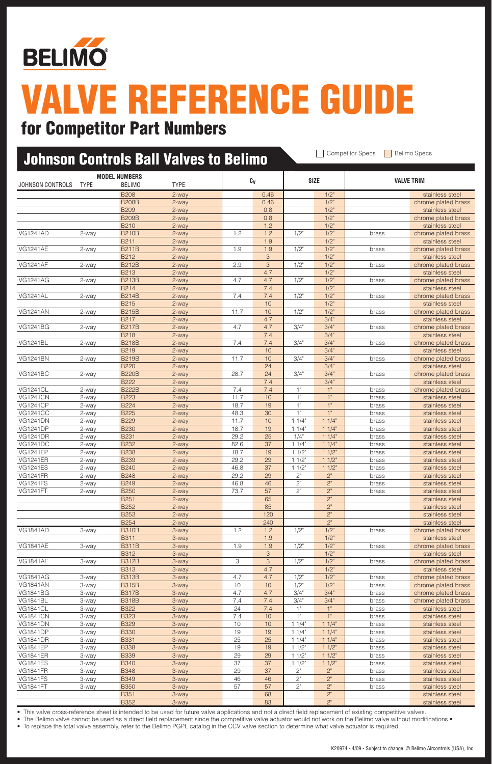

### for Competitor Part Numbers

| <b>Johnson Controls Ball Valves to Belimo</b> |                |                                       |                |              |            | <b>Competitor Specs</b><br><b>Belimo Specs</b> |                    |                |                                        |
|-----------------------------------------------|----------------|---------------------------------------|----------------|--------------|------------|------------------------------------------------|--------------------|----------------|----------------------------------------|
| <b>JOHNSON CONTROLS</b>                       | <b>TYPE</b>    | <b>MODEL NUMBERS</b><br><b>BELIMO</b> | <b>TYPE</b>    |              | Cv         |                                                | <b>SIZE</b>        |                | <b>VALVE TRIM</b>                      |
|                                               |                | <b>B208</b>                           | 2-way          |              | 0.46       |                                                | $1/2$ "            |                | stainless steel                        |
|                                               |                | <b>B208B</b>                          | 2-way          |              | 0.46       |                                                | $1/2$ "            |                | chrome plated brass                    |
|                                               |                | <b>B209</b>                           | 2-way          |              | 0.8        |                                                | $1/2$ "            |                | stainless steel                        |
|                                               |                | <b>B209B</b><br><b>B210</b>           | 2-way          |              | 0.8<br>1.2 |                                                | $1/2$ "<br>$1/2$ " |                | chrome plated brass                    |
| <b>VG1241AD</b>                               | 2-way          | <b>B210B</b>                          | 2-way<br>2-way | 1.2          | 1.2        | 1/2"                                           | $1/2$ "            | brass          | stainless steel<br>chrome plated brass |
|                                               |                | <b>B211</b>                           | 2-way          |              | 1.9        |                                                | $1/2$ "            |                | stainless steel                        |
| <b>VG1241AE</b>                               | 2-way          | <b>B211B</b>                          | 2-way          | 1.9          | 1.9        | 1/2"                                           | $1/2$ "            | brass          | chrome plated brass                    |
|                                               |                | <b>B212</b>                           | 2-way          |              | 3          |                                                | $1/2$ "            |                | stainless steel                        |
| <b>VG1241AF</b>                               | 2-way          | <b>B212B</b>                          | 2-way          | 2.9          | 3          | 1/2"                                           | $1/2$ "            | brass          | chrome plated brass                    |
|                                               |                | <b>B213</b>                           | 2-way          |              | 4.7        |                                                | $1/2$ "            |                | stainless steel                        |
| <b>VG1241AG</b>                               | 2-way          | <b>B213B</b>                          | 2-way          | 4.7          | 4.7        | 1/2"                                           | $1/2$ "            | brass          | chrome plated brass                    |
| <b>VG1241AL</b>                               | 2-way          | <b>B214</b><br><b>B214B</b>           | 2-way<br>2-way | 7.4          | 7.4<br>7.4 | 1/2"                                           | $1/2$ "<br>$1/2$ " | brass          | stainless steel<br>chrome plated brass |
|                                               |                | <b>B215</b>                           | 2-way          |              | 10         |                                                | $1/2$ "            |                | stainless steel                        |
| <b>VG1241AN</b>                               | 2-way          | <b>B215B</b>                          | 2-way          | 11.7         | 10         | $1/2$ "                                        | $1/2$ "            | brass          | chrome plated brass                    |
|                                               |                | <b>B217</b>                           | 2-way          |              | 4.7        |                                                | 3/4"               |                | stainless steel                        |
| <b>VG1241BG</b>                               | 2-way          | <b>B217B</b>                          | 2-way          | 4.7          | 4.7        | 3/4"                                           | 3/4"               | brass          | chrome plated brass                    |
|                                               |                | <b>B218</b>                           | 2-way          |              | 7.4        |                                                | 3/4"               |                | stainless steel                        |
| <b>VG1241BL</b>                               | 2-way          | <b>B218B</b>                          | 2-way          | 7.4          | 7.4        | 3/4"                                           | 3/4"               | brass          | chrome plated brass                    |
|                                               |                | <b>B219</b>                           | 2-way          |              | 10         |                                                | 3/4"               |                | stainless steel                        |
| <b>VG1241BN</b>                               | 2-way          | <b>B219B</b><br><b>B220</b>           | 2-way          | 11.7         | 10<br>24   | 3/4"                                           | 3/4"<br>3/4"       | brass          | chrome plated brass                    |
| <b>VG1241BC</b>                               | 2-way          | <b>B220B</b>                          | 2-way<br>2-way | 28.7         | 24         | 3/4"                                           | 3/4"               | brass          | stainless steel<br>chrome plated brass |
|                                               |                | <b>B222</b>                           | 2-way          |              | 7.4        |                                                | 3/4"               |                | stainless steel                        |
| <b>VG1241CL</b>                               | 2-way          | <b>B222B</b>                          | 2-way          | 7.4          | 7.4        | 1"                                             | 1"                 | brass          | chrome plated brass                    |
| <b>VG1241CN</b>                               | 2-way          | <b>B223</b>                           | 2-way          | 11.7         | 10         | 1"                                             | 1"                 | brass          | stainless steel                        |
| <b>VG1241CP</b>                               | 2-way          | <b>B224</b>                           | 2-way          | 18.7         | 19         | 1"                                             | 1"                 | brass          | stainless steel                        |
| <b>VG1241CC</b>                               | 2-way          | <b>B225</b>                           | 2-way          | 48.3         | 30         | 1"                                             | 1"                 | brass          | stainless steel                        |
| <b>VG1241DN</b>                               | 2-way          | <b>B229</b>                           | 2-way          | 11.7         | 10         | 11/4"                                          | 11/4"              | brass          | stainless steel                        |
| <b>VG1241DP</b>                               | 2-way          | <b>B230</b>                           | 2-way          | 18.7         | 19<br>25   | 11/4"                                          | 11/4"<br>11/4"     | brass          | stainless steel                        |
| <b>VG1241DR</b><br><b>VG1241DC</b>            | 2-way<br>2-way | <b>B231</b><br><b>B232</b>            | 2-way<br>2-way | 29.2<br>82.6 | 37         | 1/4"<br>11/4"                                  | 11/4"              | brass<br>brass | stainless steel<br>stainless steel     |
| <b>VG1241EP</b>                               | 2-way          | <b>B238</b>                           | 2-way          | 18.7         | 19         | 11/2"                                          | 11/2"              | brass          | stainless steel                        |
| <b>VG1241ER</b>                               | 2-way          | <b>B239</b>                           | 2-way          | 29.2         | 29         | 11/2"                                          | $11/2$ "           | brass          | stainless steel                        |
| <b>VG1241ES</b>                               | 2-way          | <b>B240</b>                           | 2-way          | 46.8         | 37         | 11/2"                                          | $11/2$ "           | brass          | stainless steel                        |
| <b>VG1241FR</b>                               | 2-way          | <b>B248</b>                           | 2-way          | 29.2         | 29         | 2"                                             | 2"                 | brass          | stainless steel                        |
| <b>VG1241FS</b>                               | 2-way          | <b>B249</b>                           | 2-way          | 46.8         | 46         | 2"                                             | 2"                 | brass          | stainless steel                        |
| <b>VG1241FT</b>                               | 2-way          | <b>B250</b>                           | 2-way          | 73.7         | 57         | 2"                                             | 2"                 | brass          | stainless steel                        |
|                                               |                | <b>B251</b><br><b>B252</b>            | 2-way<br>2-way |              | 65<br>85   |                                                | 2"<br>2"           |                | stainless steel                        |
|                                               |                | <b>B253</b>                           | 2-way          |              | 120        |                                                | 2"                 |                | stainless steel<br>stainless steel     |
|                                               |                | <b>B254</b>                           | 2-way          |              | 240        |                                                | 2"                 |                | stainless steel                        |
| <b>VG1841AD</b>                               | 3-way          | <b>B310B</b>                          | 3-way          | 1.2          | 1.2        | 1/2"                                           | $1/2$ "            | brass          | chrome plated brass                    |
|                                               |                | <b>B311</b>                           | 3-way          |              | 1.9        |                                                | 1/2"               |                | stainless steel                        |
| <b>VG1841AE</b>                               | 3-way          | <b>B311B</b>                          | 3-way          | 1.9          | 1.9        | 1/2"                                           | 1/2"               | brass          | chrome plated brass                    |
|                                               |                | <b>B312</b>                           | 3-way          |              | 3          |                                                | 1/2"               |                | stainless steel                        |
| <b>VG1841AF</b>                               | 3-way          | <b>B312B</b>                          | 3-way          | З            | 3          | 1/2"                                           | $1/2$ "            | brass          | chrome plated brass                    |
| <b>VG1841AG</b>                               |                | <b>B313</b><br><b>B313B</b>           | 3-way          | 4.7          | 4.7<br>4.7 | 1/2"                                           | 1/2"<br>1/2"       |                | stainless steel<br>chrome plated brass |
| <b>VG1841AN</b>                               | 3-way<br>3-way | <b>B315B</b>                          | 3-way<br>3-way | 10           | 10         | 1/2"                                           | 1/2"               | brass<br>brass | chrome plated brass                    |
| <b>VG1841BG</b>                               | 3-way          | <b>B317B</b>                          | 3-way          | 4.7          | 4.7        | 3/4"                                           | 3/4"               | brass          | chrome plated brass                    |
| <b>VG1841BL</b>                               | 3-way          | <b>B318B</b>                          | 3-way          | 7.4          | 7.4        | 3/4"                                           | 3/4"               | brass          | chrome plated brass                    |
| <b>VG1841CL</b>                               | 3-way          | <b>B322</b>                           | 3-way          | 24           | 7.4        | 1"                                             | 1"                 | brass          | stainless steel                        |
| <b>VG1841CN</b>                               | 3-way          | <b>B323</b>                           | 3-way          | 7.4          | 10         | 1"                                             | 1"                 | brass          | stainless steel                        |
| <b>VG1841DN</b>                               | 3-way          | <b>B329</b>                           | 3-way          | 10           | 10         | 11/4"                                          | 11/4"              | brass          | stainless steel                        |
| <b>VG1841DP</b>                               | 3-way          | <b>B330</b>                           | 3-way          | 19           | 19         | 11/4"                                          | 11/4"              | brass          | stainless steel                        |
| <b>VG1841DR</b>                               | 3-way          | <b>B331</b>                           | 3-way          | 25           | 25         | 11/4"                                          | 11/4"              | brass          | stainless steel                        |
| <b>VG1841EP</b>                               | 3-way          | <b>B338</b>                           | 3-way          | 19           | 19         | 11/2"                                          | 11/2"              | brass          | stainless steel                        |
| <b>VG1841ER</b><br><b>VG1841ES</b>            | 3-way<br>3-way | <b>B339</b><br><b>B340</b>            | 3-way<br>3-way | 29<br>37     | 29<br>37   | 11/2"<br>11/2"                                 | 11/2"<br>11/2"     | brass<br>brass | stainless steel<br>stainless steel     |
| <b>VG1841FR</b>                               | 3-way          | <b>B348</b>                           | 3-way          | 29           | 37         | 2"                                             | $2"$               | brass          | stainless steel                        |
| <b>VG1841FS</b>                               | 3-way          | <b>B349</b>                           | 3-way          | 46           | 46         | 2"                                             | $2"$               | brass          | stainless steel                        |
| <b>VG1841FT</b>                               | 3-way          | <b>B350</b>                           | 3-way          | 57           | 57         | 2"                                             | 2"                 | brass          | stainless steel                        |
|                                               |                | <b>B351</b>                           | 3-way          |              | 68         |                                                | $2"$               |                | stainless steel                        |
|                                               |                | <b>B352</b>                           | 3-way          |              | 83         |                                                | $2^{\circ}$        |                | stainless steel                        |

• This valve cross-reference sheet is intended to be used for future valve applications and not a direct field replacement of existing competitive valves.

• The Belimo valve cannot be used as a direct field replacement since the competitive valve actuator would not work on the Belimo valve without modifications.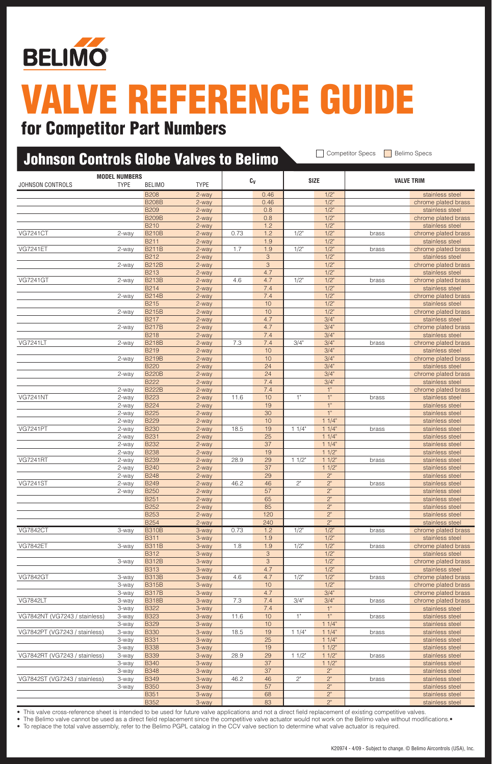

### for Competitor Part Numbers

### Johnson Controls Globe Valves to Belimo **Competitor Specs** Belimo Specs  $\nonumber$  **Model Numbers C**v **Size Size the Size of the Size of the Size of the Valve Tri** B208 2-way 0.46 1/2" stainless steel B208B 2-way 2-way 0.46 1/2" chrome plated brass B209 2-way 0.8 1/2" stainless steel B209B 2-way 2-way 0.8 1/2" chrome plated brass B210 2-way 2-way 1.2 1/2" 1/2" stainless steel VG7241CT 2-way B210B 2-way 0.73 1.2 1/2" 1/2" brass chrome plated brass B211 2-way 2-way 1.9 1.9 1/2" stainless stee VG7241ET 2-way B211B 2-way 1.7 1.9 1/2" 1/2" brass chrome plated brass B212 2-way 2-way 3 2 1/2" CHA Stainless steel 2-way 2-way 2-way 2-way 3 1/2" chrome plated brass<br>
2-way 2-way 4.7 1/2" stainless steel B213 2-way 4.7 1/2" stainless steel VG7241GT 2-way B213B 2-way 4.6 4.7 1/2" 1/2" brass chrome plated brass B214 2-way 2-way 7.4 2.12" Stainless steel 2-way **B214B** 2-way 2-way 2-way 2-way 2-way 2-way 2-way 2-way 2-way 2-way 2-way 2-way 2-way 2-way 2-way 2-way 2-way 2-way 2-way 2-way 2-way 2-way 2-way 2-way 2-way 2-way 2-way 2-way 2-way 2-way 2-way 2-way 2-way 2-way 2-wa B215 2-way 200 10 200 1/2" Constants are stainless steel 2-way B215B 2-way 2-way 2-way 2-way 2-way 2-way 2-way 2-way 2-way 2-way 2-way 2-way 2-way 2-way 2-way 2-way 2-B217 2-way 2-way 4.7 3/4" stainless steel 2-way <mark>B217B 2-way 2-way 4.7 4.7 3/4" chrome plated brass</mark> B218 2-way 7.4 3/4" stainless steel<br>B218B 2-way 7.3 7.4 3/4" 3/4" brass chrome plated bra VG7241LT 2-way B218B 2-way 7.3 7.4 3/4" 3/4" brass chrome plated brass B219 2-way 10 10 3/4" stainless steel 2-way 2-way 2-way 2-way 10 10 3/4" chrome plated brass B220 2-way 24 3/4" stainless stee<br>B220B 2-way 24 3/4" stainless stee 2-way **B220B** 2-way 2-way 24 3/4" chrome plated brass B222 2-way 7.4 3/4" stainless steel 2-way B222B 2-way 2-way 7.4 1" chrome plated brass VG7241NT 2-way B223 2-way 11.6 10 1" 1" brass stainless steel 2-way <mark>B224 2-way 2-way 19 1</mark> 19 1 1 2-way 2-way 2-way 2-way 2-way 2-way 2-way 2-way 2-way 2-way 2-way 2-way 2-w 2-way B225 2-way 30 1" stainless steel 2-way <mark>B229 2-way 2-way 2-way 10 11/4" contract the stainless steel</mark> VG7241PT 2-way B230 2-way 18.5 19 1 1/4" 1 1/4" brass stainless steel 2-way <mark>B231 2-way 25 1 1/4" stainless stee</mark> 2-way <mark>B232 2-way 37 11/4" stainless steel 2-way 37 11/4" stainless steel</mark><br>2-way 8238 2-way 19 11/2" stainless steel 2-way <mark>B238 2-way 2-way 19 11/2" charge the stainless steel</mark> VG7241RT 2-way B239 2-way 28.9 29 1 1/2" 1 1/2" brass stainless steel 2-way <mark>B240 2-way 2-way 37 11/2" stainless steel 2-way 8</mark> 2-way 37 2-way 37 2-way 37 2-way 30 2-way 2-way 37 2-way 2-way 2-way 2-way 2-way 29 29 2" stainless steel 2-way 37 2" stainless steel 2-way 29 2" stainless steel 2-way VG7241ST 2-way B249 2-way 46.2 46 2" 2" brass stainless steel 2-way <mark>B250 2-way 2-way 57 2" 2" stainless stee</mark> B251 2-way 65 2" stainless steel B252 2-way 85 2" stainless steel B253 2-way 20 120 2<sup>"</sup> 2<sup>"</sup> stainless steel B254 2-way 20 240 2<sup>"</sup> 2<sup>"</sup> 2<sup>"</sup> stainless steel VG7842CT 3-way B310B 3-way 0.73 1.2 1/2" 1/2" brass chrome plated brass B311 3-way 3-way 1.9 1.9 1/2" Next Stainless steel VG7842ET 3-way B311B 3-way 1.8 1.9 1/2" 1/2" brass chrome plated brass B312 3-way 3 3 1/2" stainless steel 3-way B312B 3-way 3 3 1/2" chrome plated brass B313 3-way 3-way 4.7 2 1/2" Stainless steel VG7842GT 3-way 8313B 3-way 3-way 4.6 4.7 1/2" 1/2" brass chrome plated brass 3-way B315B 3-way 10 10 1/2" chrome plated brass 3-way B317B 3-way 3-way 4.7 3/4" chrome plated brass VG7842LT 3-way B318B 3-way 7.3 7.4 3/4" 3/4" brass chrome plated brass 3-way B322 3-way 7.4 1" stainless steel<br>3-way B323 3-way 11.6 10 1" 1" brass stainless steel VG7842NT (VG7243 / stainless) 3-way B323 3-way 11.6 10 1" 1" 1" brass stainless steel  $3$ -way  $B329$   $3$ -way  $10$   $11/4$ " stainless steel VG7842PT (VG7243 / stainless) 3-way B330 3-way 18.5 19 1 1/4" 1 1/4" brass stainless steel 3-way <mark>B331 3-way 3-way 25 1 1/4" stainless steel 3-way 3-way 3-way 3-way 3-way 3-way 3-way 3-way 3-mail 3-way 3-mail 3-way 3-mail 3-way 3-mail 3-way 3-mail 3-way 3-mail 3-way 3-way 3-mail 3-way 3-way 3-way 3-way 3-way 3-w</mark> 3-way <mark>B338 3-way 3-way 19 11/2" stainless steel 3-way 3-way 3-way 11/2" stainless steel</mark> VG7842RT (VG7243 / stainless) 3-way B339 3-way 28.9 29 1 1/2" 1 1/2" brass stainless steel 3-way <mark>B340 3-way 37 11/2" stainless steel</mark> 3-way B348 3-way 37 2" stainless steel VG7842ST (VG7243 / stainless) 3-way B349 3-way 46.2 46 2" 2" brass statinless steel 3-way B350 3-way 3-way 57 2" stainless steel B351 3-way 68 2" stainless steel

B352 3-way 83 2" stainless steel This valve cross-reference sheet is intended to be used for future valve applications and not a direct field replacement of existing competitive valves

The Belimo valve cannot be used as a direct field replacement since the competitive valve actuator would not work on the Belimo valve without modifications.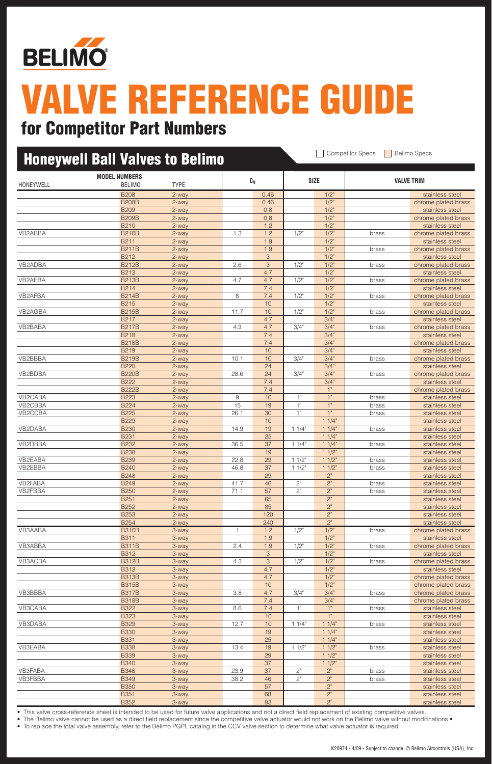

### for Competitor Part Numbers

| <b>Honeywell Ball Valves to Belimo</b> |                             |                |              |                | <b>Competitor Specs</b><br><b>Belimo Specs</b> |                      |                |                                        |
|----------------------------------------|-----------------------------|----------------|--------------|----------------|------------------------------------------------|----------------------|----------------|----------------------------------------|
|                                        | <b>MODEL NUMBERS</b>        |                |              | Cv             |                                                | <b>SIZE</b>          |                | <b>VALVE TRIM</b>                      |
| HONEYWELL                              | BELIMO                      | <b>TYPE</b>    |              |                |                                                |                      |                |                                        |
|                                        | <b>B208</b><br><b>B208B</b> | 2-way<br>2-way |              | 0.46<br>0.46   |                                                | $1/2$ "<br>$1/2$ "   |                | stainless steel<br>chrome plated brass |
|                                        | <b>B209</b>                 | 2-way          |              | 0.8            |                                                | $1/2$ "              |                | stainless steel                        |
|                                        | <b>B209B</b>                | 2-way          |              | 0.8            |                                                | $1/2$ "              |                | chrome plated brass                    |
|                                        | <b>B210</b>                 | 2-way          |              | 1.2            |                                                | $1/2$ "              |                | stainless steel                        |
| VB2ABBA                                | <b>B210B</b>                | 2-way          | 1.3          | 1.2            | $1/2$ "                                        | $1/2$ "              | brass          | chrome plated brass                    |
|                                        | <b>B211</b>                 | $2$ -way       |              | 1.9            |                                                | $1/2$ "              |                | stainless steel                        |
|                                        | <b>B211B</b>                | 2-way          |              | 1.9            |                                                | $1/2$ "              | brass          | chrome plated brass                    |
|                                        | B212                        | 2-way          |              | 3              |                                                | $1/2$ "              |                | stainless steel                        |
| VB2ADBA                                | <b>B212B</b>                | 2-way          | 2.6          | $\mathcal{S}$  | $1/2$ "                                        | $1/2$ "              | brass          | chrome plated brass                    |
|                                        | <b>B213</b>                 | 2-way          |              | 4.7            |                                                | $1/2$ "              |                | stainless steel                        |
| VB2AEBA                                | <b>B213B</b><br><b>B214</b> | 2-way          | 4.7          | 4.7<br>7.4     | 1/2"                                           | $1/2$ "<br>$1/2$ "   | brass          | chrome plated brass                    |
| VB2AFBA                                | <b>B214B</b>                | 2-way<br>2-way | 8            | 7.4            | 1/2"                                           | $1/2$ "              | brass          | stainless steel<br>chrome plated brass |
|                                        | <b>B215</b>                 | 2-way          |              | 10             |                                                | $1/2$ "              |                | stainless steel                        |
| VB2AGBA                                | <b>B215B</b>                | 2-way          | 11.7         | 10             | 1/2"                                           | $1/2$ "              | brass          | chrome plated brass                    |
|                                        | <b>B217</b>                 | 2-way          |              | 4.7            |                                                | 3/4"                 |                | stainless steel                        |
| VB2BABA                                | <b>B217B</b>                | 2-way          | 4.3          | 4.7            | 3/4"                                           | 3/4"                 | brass          | chrome plated brass                    |
|                                        | <b>B218</b>                 | 2-way          |              | 7.4            |                                                | 3/4"                 |                | stainless steel                        |
|                                        | <b>B218B</b>                | 2-way          |              | 7.4            |                                                | 3/4"                 |                | chrome plated brass                    |
|                                        | <b>B219</b>                 | 2-way          |              | 10             |                                                | 3/4"                 |                | stainless steel                        |
| VB2BBBA                                | <b>B219B</b>                | 2-way          | 10.1         | 10             | 3/4"                                           | 3/4"                 | brass          | chrome plated brass                    |
|                                        | <b>B220</b>                 | 2-way          |              | 24             |                                                | 3/4"                 |                | stainless steel                        |
| VB2BDBA                                | <b>B220B</b>                | 2-way          | 28.6         | 24             | 3/4"                                           | 3/4"                 | brass          | chrome plated brass                    |
|                                        | <b>B222</b><br><b>B222B</b> | 2-way          |              | 7.4<br>7.4     |                                                | 3/4"<br>1"           |                | stainless steel                        |
| VB2CABA                                | <b>B223</b>                 | 2-way<br>2-way | 9            | 10             | 1"                                             | 1"                   | brass          | chrome plated brass<br>stainless steel |
| VB2CBBA                                | <b>B224</b>                 | 2-way          | 15           | 19             | $1"$                                           | 1"                   | brass          | stainless steel                        |
| VB2CCBA                                | <b>B225</b>                 | 2-way          | 26.1         | 30             | 1"                                             | 1"                   | brass          | stainless steel                        |
|                                        | <b>B229</b>                 | 2-way          |              | 10             |                                                | 11/4"                |                | stainless steel                        |
| VB2DABA                                | <b>B230</b>                 | 2-way          | 14.9         | 19             | 11/4"                                          | 11/4"                | brass          | stainless steel                        |
|                                        | <b>B231</b>                 | 2-way          |              | 25             |                                                | 11/4"                |                | stainless steel                        |
| VB2DBBA                                | <b>B232</b>                 | 2-way          | 36.5         | 37             | 11/4"                                          | 11/4"                | brass          | stainless steel                        |
|                                        | <b>B238</b>                 | 2-way          |              | 19             |                                                | 11/2"                |                | stainless steel                        |
| VB2EABA                                | <b>B239</b>                 | 2-way          | 22.8         | 29             | 11/2                                           | 11/2                 | brass          | stainless steel                        |
| VB2EBBA                                | <b>B240</b>                 | 2-way          | 46.8         | 37             | 11/2"                                          | 11/2"                | brass          | stainless steel                        |
| VB2FABA                                | <b>B248</b><br><b>B249</b>  | 2-way          | 41.7         | 29<br>46       | 2"                                             | 2"<br>2"             |                | stainless steel                        |
| VB2FBBA                                | <b>B250</b>                 | 2-way<br>2-way | 71.1         | 57             | 2"                                             | 2"                   | brass<br>brass | stainless steel<br>stainless steel     |
|                                        | <b>B251</b>                 | 2-way          |              | 65             |                                                | 2"                   |                | stainless steel                        |
|                                        | <b>B252</b>                 | 2-way          |              | 85             |                                                | 2"                   |                | stainless steel                        |
|                                        | <b>B253</b>                 | 2-way          |              | 120            |                                                | $2^{\circ}$          |                | stainless steel                        |
|                                        | <b>B254</b>                 | 2-way          |              | 240            |                                                | $2"$                 |                | stainless steel                        |
| VB3AABA                                | <b>B310B</b>                | 3-way          | 1            | 1.2            | 1/2"                                           | 1/2                  | brass          | chrome plated brass                    |
|                                        | <b>B311</b>                 | 3-way          |              | 1.9            |                                                | 1/2"                 |                | stainless steel                        |
| VB3ABBA                                | <b>B311B</b>                | 3-way          | 2.4          | 1.9            | 1/2"                                           | 1/2"                 | brass          | chrome plated brass                    |
|                                        | <b>B312</b>                 | 3-way          |              | $\mathfrak{S}$ |                                                | 1/2"                 |                | stainless steel                        |
| VB3ACBA                                | <b>B312B</b>                | 3-way          | 4.3          | $\sqrt{3}$     | 1/2"                                           | $1/2$ "              | brass          | chrome plated brass                    |
|                                        | <b>B313</b><br><b>B313B</b> | 3-way<br>3-way |              | 4.7<br>4.7     |                                                | $1/2$ "<br>1/2"      |                | stainless steel<br>chrome plated brass |
|                                        | <b>B315B</b>                | 3-way          |              | 10             |                                                | 1/2"                 |                | chrome plated brass                    |
| VB3BBBA                                | <b>B317B</b>                | 3-way          | 3.8          | 4.7            | 3/4"                                           | 3/4"                 | brass          | chrome plated brass                    |
|                                        | <b>B318B</b>                | 3-way          |              | 7.4            |                                                | 3/4"                 |                | chrome plated brass                    |
| VB3CABA                                | <b>B322</b>                 | 3-way          | 8.6          | 7.4            | 1"                                             | 1"                   | brass          | stainless steel                        |
|                                        | <b>B323</b>                 | 3-way          |              | 10             |                                                | 1"                   |                | stainless steel                        |
| VB3DABA                                | <b>B329</b>                 | 3-way          | 12.7         | 10             | 11/4"                                          | 11/4"                | brass          | stainless steel                        |
|                                        | <b>B330</b>                 | 3-way          |              | 19             |                                                | 11/4"                |                | stainless steel                        |
|                                        | <b>B331</b>                 | 3-way          |              | 25             |                                                | 11/4"                |                | stainless steel                        |
| VB3EABA                                | <b>B338</b>                 | 3-way          | 13.4         | 19             | 11/2"                                          | $11/2$ "             | brass          | stainless steel                        |
|                                        | <b>B339</b>                 | 3-way          |              | 29             |                                                | 11/2"                |                | stainless steel                        |
|                                        | <b>B340</b>                 | 3-way          |              | 37             |                                                | 11/2"                |                | stainless steel                        |
| VB3FABA<br>VB3FBBA                     | <b>B348</b><br><b>B349</b>  | 3-way<br>3-way | 23.9<br>38.2 | 37<br>46       | 2"<br>$2"$                                     | 2"<br>2 <sup>n</sup> | brass          | stainless steel<br>stainless steel     |
|                                        | <b>B350</b>                 | 3-way          |              | 57             |                                                | 2"                   | brass          | stainless steel                        |
|                                        | <b>B351</b>                 | 3-way          |              | 68             |                                                | $2^{\circ}$          |                | stainless steel                        |
|                                        | <b>B352</b>                 | 3-way          |              | 83             |                                                | 2"                   |                | stainless steel                        |

• This valve cross-reference sheet is intended to be used for future valve applications and not a direct field replacement of existing competitive valves.

• The Belimo valve cannot be used as a direct field replacement since the competitive valve actuator would not work on the Belimo valve without modifications.•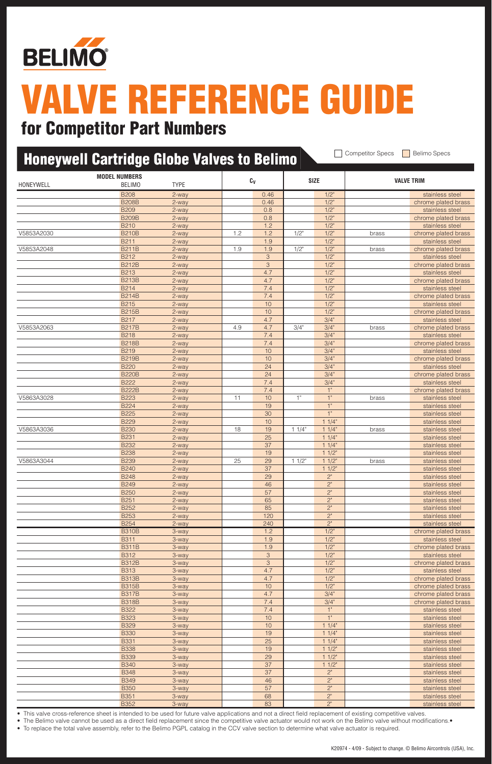

### for Competitor Part Numbers

|            | <b>Honeywell Cartridge Globe Valves to Belimo</b> |                |     |            |         |                    | <b>Competitor Specs</b><br><b>Belimo Specs</b> |                                        |  |
|------------|---------------------------------------------------|----------------|-----|------------|---------|--------------------|------------------------------------------------|----------------------------------------|--|
| HONEYWELL  | <b>MODEL NUMBERS</b><br><b>BELIMO</b>             | <b>TYPE</b>    |     | Cv         |         | <b>SIZE</b>        |                                                | <b>VALVE TRIM</b>                      |  |
|            | <b>B208</b>                                       | 2-way          |     | 0.46       |         | $1/2$ "            |                                                | stainless steel                        |  |
|            | <b>B208B</b>                                      | 2-way          |     | 0.46       |         | $1/2$ "            |                                                | chrome plated brass                    |  |
|            | <b>B209</b>                                       | 2-way          |     | 0.8        |         | $1/2$ "            |                                                | stainless steel                        |  |
|            | <b>B209B</b><br><b>B210</b>                       | 2-way<br>2-way |     | 0.8<br>1.2 |         | $1/2$ "<br>$1/2$ " |                                                | chrome plated brass                    |  |
| V5853A2030 | <b>B210B</b>                                      | 2-way          | 1.2 | 1.2        | 1/2"    | $1/2$ "            | brass                                          | stainless steel<br>chrome plated brass |  |
|            | <b>B211</b>                                       | 2-way          |     | 1.9        |         | $1/2$ "            |                                                | stainless steel                        |  |
| V5853A2048 | <b>B211B</b>                                      | 2-way          | 1.9 | 1.9        | $1/2$ " | $1/2$ "            | brass                                          | chrome plated brass                    |  |
|            | B <sub>212</sub>                                  | 2-way          |     | 3          |         | $1/2$ "            |                                                | stainless steel                        |  |
|            | <b>B212B</b>                                      | 2-way          |     | 3          |         | $1/2$ "            |                                                | chrome plated brass                    |  |
|            | <b>B213</b><br><b>B213B</b>                       | 2-way          |     | 4.7<br>4.7 |         | $1/2$ "<br>$1/2$ " |                                                | stainless steel                        |  |
|            | <b>B214</b>                                       | 2-way<br>2-way |     | 7.4        |         | $1/2$ "            |                                                | chrome plated brass<br>stainless steel |  |
|            | <b>B214B</b>                                      | 2-way          |     | 7.4        |         | $1/2$ "            |                                                | chrome plated brass                    |  |
|            | <b>B215</b>                                       | 2-way          |     | 10         |         | $1/2$ "            |                                                | stainless steel                        |  |
|            | <b>B215B</b>                                      | 2-way          |     | 10         |         | $1/2$ "            |                                                | chrome plated brass                    |  |
|            | <b>B217</b>                                       | 2-way          |     | 4.7        |         | 3/4"               |                                                | stainless steel                        |  |
| V5853A2063 | <b>B217B</b>                                      | 2-way          | 4.9 | 4.7        | 3/4"    | 3/4"               | brass                                          | chrome plated brass                    |  |
|            | <b>B218</b><br><b>B218B</b>                       | 2-way<br>2-way |     | 7.4<br>7.4 |         | 3/4"<br>3/4"       |                                                | stainless steel<br>chrome plated brass |  |
|            | B219                                              | 2-way          |     | 10         |         | 3/4"               |                                                | stainless steel                        |  |
|            | <b>B219B</b>                                      | 2-way          |     | 10         |         | 3/4"               |                                                | chrome plated brass                    |  |
|            | <b>B220</b>                                       | 2-way          |     | 24         |         | 3/4"               |                                                | stainless steel                        |  |
|            | <b>B220B</b>                                      | 2-way          |     | 24         |         | 3/4"               |                                                | chrome plated brass                    |  |
|            | <b>B222</b>                                       | 2-way          |     | 7.4        |         | 3/4"               |                                                | stainless steel                        |  |
|            | <b>B222B</b>                                      | 2-way          |     | 7.4        |         | 1"                 |                                                | chrome plated brass                    |  |
| V5863A3028 | <b>B223</b><br><b>B224</b>                        | 2-way<br>2-way | 11  | 10<br>19   | 1"      | 1"<br>1"           | brass                                          | stainless steel<br>stainless steel     |  |
|            | <b>B225</b>                                       | 2-way          |     | 30         |         | 1"                 |                                                | stainless steel                        |  |
|            | <b>B229</b>                                       | 2-way          |     | 10         |         | 11/4"              |                                                | stainless steel                        |  |
| V5863A3036 | <b>B230</b>                                       | 2-way          | 18  | 19         | 11/4"   | 11/4"              | brass                                          | stainless steel                        |  |
|            | <b>B231</b>                                       | 2-way          |     | 25         |         | 11/4"              |                                                | stainless steel                        |  |
|            | <b>B232</b>                                       | 2-way          |     | 37         |         | 11/4"              |                                                | stainless steel                        |  |
|            | <b>B238</b>                                       | 2-way          |     | 19         |         | 11/2"              |                                                | stainless steel                        |  |
| V5863A3044 | <b>B239</b><br><b>B240</b>                        | 2-way<br>2-way | 25  | 29<br>37   | 11/2"   | 11/2"<br>11/2"     | brass                                          | stainless steel<br>stainless steel     |  |
|            | <b>B248</b>                                       | 2-way          |     | 29         |         | 2"                 |                                                | stainless steel                        |  |
|            | <b>B249</b>                                       | 2-way          |     | 46         |         | 2"                 |                                                | stainless steel                        |  |
|            | <b>B250</b>                                       | 2-way          |     | 57         |         | 2"                 |                                                | stainless steel                        |  |
|            | <b>B251</b>                                       | 2-way          |     | 65         |         | 2"                 |                                                | stainless steel                        |  |
|            | <b>B252</b>                                       | 2-way          |     | 85         |         | 2 <sup>n</sup>     |                                                | stainless steel                        |  |
|            | <b>B253</b><br><b>B254</b>                        | 2-way          |     | 120<br>240 |         | 2"<br>$2"$         |                                                | stainless steel                        |  |
|            | <b>B310B</b>                                      | 2-way<br>3-way |     | 1.2        |         | $1/2$ "            |                                                | stainless steel<br>chrome plated brass |  |
|            | <b>B311</b>                                       | 3-way          |     | 1.9        |         | $1/2$ "            |                                                | stainless steel                        |  |
|            | <b>B311B</b>                                      | 3-way          |     | 1.9        |         | $1/2$ "            |                                                | chrome plated brass                    |  |
|            | <b>B312</b>                                       | 3-way          |     | $\sqrt{3}$ |         | $1/2$ "            |                                                | stainless steel                        |  |
|            | <b>B312B</b>                                      | 3-way          |     | $\sqrt{3}$ |         | $1/2$ "            |                                                | chrome plated brass                    |  |
|            | <b>B313</b>                                       | 3-way          |     | 4.7<br>4.7 |         | $1/2$ "<br>1/2"    |                                                | stainless steel<br>chrome plated brass |  |
|            | <b>B313B</b><br><b>B315B</b>                      | 3-way<br>3-way |     | $10$       |         | $1/2$ "            |                                                | chrome plated brass                    |  |
|            | <b>B317B</b>                                      | 3-way          |     | 4.7        |         | 3/4"               |                                                | chrome plated brass                    |  |
|            | <b>B318B</b>                                      | 3-way          |     | 7.4        |         | 3/4"               |                                                | chrome plated brass                    |  |
|            | <b>B322</b>                                       | 3-way          |     | 7.4        |         | 1"                 |                                                | stainless steel                        |  |
|            | <b>B323</b>                                       | 3-way          |     | 10         |         | 1"                 |                                                | stainless steel                        |  |
|            | <b>B329</b><br><b>B330</b>                        | 3-way          |     | 10<br>19   |         | 11/4"<br>11/4"     |                                                | stainless steel                        |  |
|            | <b>B331</b>                                       | 3-way<br>3-way |     | 25         |         | 11/4"              |                                                | stainless steel<br>stainless steel     |  |
|            | <b>B338</b>                                       | 3-way          |     | 19         |         | 11/2               |                                                | stainless steel                        |  |
|            | <b>B339</b>                                       | 3-way          |     | 29         |         | $11/2$ "           |                                                | stainless steel                        |  |
|            | <b>B340</b>                                       | 3-way          |     | 37         |         | $11/2$ "           |                                                | stainless steel                        |  |
|            | <b>B348</b>                                       | 3-way          |     | 37         |         | 2"                 |                                                | stainless steel                        |  |
|            | <b>B349</b>                                       | 3-way          |     | 46         |         | 2 <sup>n</sup>     |                                                | stainless steel                        |  |
|            | <b>B350</b><br><b>B351</b>                        | 3-way<br>3-way |     | 57<br>68   |         | 2"<br>$2"$         |                                                | stainless steel<br>stainless steel     |  |
|            | <b>B352</b>                                       | 3-way          |     | 83         |         | 2 <sup>n</sup>     |                                                | stainless steel                        |  |

• This valve cross-reference sheet is intended to be used for future valve applications and not a direct field replacement of existing competitive valves.

• The Belimo valve cannot be used as a direct field replacement since the competitive valve actuator would not work on the Belimo valve without modifications. • To replace the total valve assembly, refer to the Belimo PGPL catalog in the CCV valve section to determine what valve actuator is required.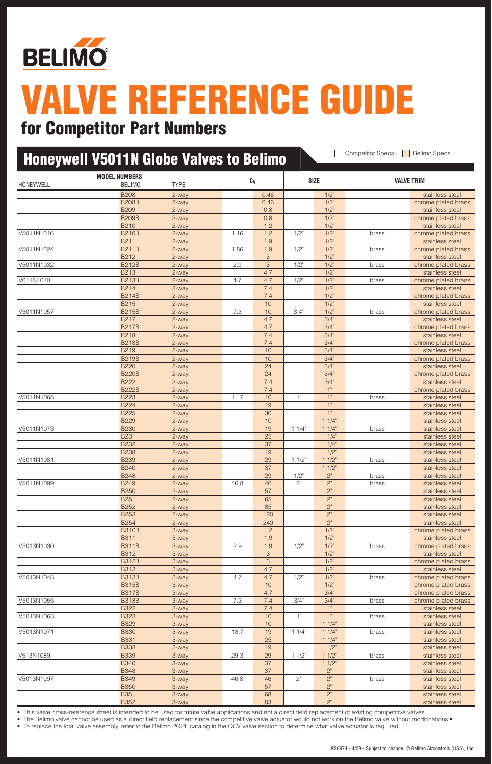

### for Competitor Part Numbers

| <b>Competitor Specs</b><br><b>Belimo Specs</b><br><b>Honeywell V5011N Globe Valves to Belimo</b> |                                       |                |      |                     |             |                    |       |                                        |  |  |
|--------------------------------------------------------------------------------------------------|---------------------------------------|----------------|------|---------------------|-------------|--------------------|-------|----------------------------------------|--|--|
| HONEYWELL                                                                                        | <b>MODEL NUMBERS</b><br><b>BELIMO</b> | <b>TYPE</b>    |      | $\text{C}_\text{V}$ |             | <b>SIZE</b>        |       | <b>VALVE TRIM</b>                      |  |  |
|                                                                                                  | <b>B208</b>                           | 2-way          |      | 0.46                |             | $1/2$ "            |       | stainless steel                        |  |  |
|                                                                                                  | <b>B208B</b>                          | 2-way          |      | 0.46                |             | $1/2$ "            |       | chrome plated brass                    |  |  |
|                                                                                                  | <b>B209</b>                           | 2-way          |      | 0.8                 |             | $1/2$ "            |       | stainless steel                        |  |  |
|                                                                                                  | <b>B209B</b>                          | 2-way          |      | 0.8                 |             | $1/2$ "            |       | chrome plated brass                    |  |  |
|                                                                                                  | <b>B210</b>                           | 2-way          |      | 1.2                 |             | $1/2$ "            |       | stainless steel                        |  |  |
| V5011N1016                                                                                       | <b>B210B</b>                          | 2-way          | 1.16 | 1.2                 | $1/2$ "     | $1/2$ "            | brass | chrome plated brass                    |  |  |
|                                                                                                  | <b>B211</b>                           | 2-way          |      | 1.9                 |             | $1/2$ "            |       | stainless steel                        |  |  |
| V5011N1024                                                                                       | <b>B211B</b><br><b>B212</b>           | 2-way          | 1.86 | 1.9<br>3            | $1/2$ "     | $1/2$ "            | brass | chrome plated brass                    |  |  |
| V5011N1032                                                                                       | <b>B212B</b>                          | 2-way<br>2-way | 2.9  | 3                   | $1/2$ "     | $1/2$ "<br>$1/2$ " | brass | stainless steel<br>chrome plated brass |  |  |
|                                                                                                  | <b>B213</b>                           | 2-way          |      | 4.7                 |             | 1/2"               |       | stainless steel                        |  |  |
| V011N1040                                                                                        | <b>B213B</b>                          | 2-way          | 4.7  | 4.7                 | 1/2"        | $1/2$ "            | brass | chrome plated brass                    |  |  |
|                                                                                                  | <b>B214</b>                           | 2-way          |      | 7.4                 |             | $1/2$ "            |       | stainless steel                        |  |  |
|                                                                                                  | <b>B214B</b>                          | 2-way          |      | 7.4                 |             | $1/2$ "            |       | chrome plated brass                    |  |  |
|                                                                                                  | <b>B215</b>                           | 2-way          |      | 10                  |             | $1/2$ "            |       | stainless steel                        |  |  |
| V5011N1057                                                                                       | <b>B215B</b>                          | 2-way          | 7.3  | 10                  | 3.4"        | $1/2$ "            | brass | chrome plated brass                    |  |  |
|                                                                                                  | <b>B217</b>                           | 2-way          |      | 4.7                 |             | 3/4"               |       | stainless steel                        |  |  |
|                                                                                                  | <b>B217B</b>                          | 2-way          |      | 4.7                 |             | 3/4"               |       | chrome plated brass                    |  |  |
|                                                                                                  | <b>B218</b>                           | 2-way          |      | 7.4                 |             | 3/4"               |       | stainless steel                        |  |  |
|                                                                                                  | <b>B218B</b>                          | 2-way          |      | 7.4                 |             | 3/4"               |       | chrome plated brass                    |  |  |
|                                                                                                  | <b>B219</b>                           | 2-way          |      | 10                  |             | 3/4"               |       | stainless steel                        |  |  |
|                                                                                                  | <b>B219B</b>                          | 2-way          |      | 10                  |             | 3/4"               |       | chrome plated brass                    |  |  |
|                                                                                                  | <b>B220</b>                           | 2-way          |      | 24                  |             | 3/4"               |       | stainless steel                        |  |  |
|                                                                                                  | <b>B220B</b>                          | 2-way          |      | 24                  |             | 3/4"               |       | chrome plated brass                    |  |  |
|                                                                                                  | <b>B222</b>                           | 2-way          |      | 7.4                 |             | 3/4"               |       | stainless steel                        |  |  |
| V5011N1065                                                                                       | <b>B222B</b><br><b>B223</b>           | 2-way          | 11.7 | 7.4<br>10           | 1"          | 1"<br>1"           |       | chrome plated brass                    |  |  |
|                                                                                                  |                                       | 2-way          |      |                     |             | 1"                 | brass | stainless steel                        |  |  |
|                                                                                                  | <b>B224</b><br><b>B225</b>            | 2-way<br>2-way |      | 19<br>30            |             | 1"                 |       | stainless steel<br>stainless steel     |  |  |
|                                                                                                  | <b>B229</b>                           | 2-way          |      | 10                  |             | 11/4"              |       | stainless steel                        |  |  |
| V5011N1073                                                                                       | <b>B230</b>                           | 2-way          |      | 19                  | 11/4"       | 11/4"              | brass | stainless steel                        |  |  |
|                                                                                                  | <b>B231</b>                           | 2-way          |      | 25                  |             | 11/4"              |       | stainless steel                        |  |  |
|                                                                                                  | <b>B232</b>                           | 2-way          |      | 37                  |             | 11/4"              |       | stainless steel                        |  |  |
|                                                                                                  | <b>B238</b>                           | 2-way          |      | 19                  |             | 11/2"              |       | stainless steel                        |  |  |
| V5011N1081                                                                                       | <b>B239</b>                           | 2-way          |      | 29                  | 11/2"       | 11/2               | brass | stainless steel                        |  |  |
|                                                                                                  | <b>B240</b>                           | 2-way          |      | 37                  |             | 11/2"              |       | stainless steel                        |  |  |
|                                                                                                  | <b>B248</b>                           | 2-way          |      | 29                  | 1/2"        | $2^{\circ}$        | brass | stainless steel                        |  |  |
| V5011N1099                                                                                       | <b>B249</b>                           | 2-way          | 46.8 | 46                  | $2^{\circ}$ | 2"                 | brass | stainless steel                        |  |  |
|                                                                                                  | <b>B250</b>                           | 2-way          |      | 57                  |             | 2"                 |       | stainless steel                        |  |  |
|                                                                                                  | B <sub>251</sub>                      | 2-way          |      | 65                  |             | 2"                 |       | stainless steel                        |  |  |
|                                                                                                  | B252                                  | 2-way          |      | 85                  |             | 2"                 |       | stainless steel                        |  |  |
|                                                                                                  | <b>B253</b>                           | 2-way          |      | 120                 |             | 2"                 |       | stainless steel                        |  |  |
|                                                                                                  | <b>B254</b>                           | 2-way          |      | 240                 |             | 2"                 |       | stainless steel                        |  |  |
|                                                                                                  | <b>B310B</b>                          | 3-way          |      | 1.2                 |             | $1/2$ "            |       | chrome plated brass                    |  |  |
|                                                                                                  | <b>B311</b>                           | 3-way          |      | 1.9                 |             | $1/2$ "            |       | stainless steel                        |  |  |
| V5013N1030                                                                                       | <b>B311B</b>                          | 3-way          | 2.9  | 1.9                 | 1/2"        | $1/2$ "            | brass | chrome plated brass                    |  |  |
|                                                                                                  | <b>B312</b><br><b>B312B</b>           | 3-way<br>3-way |      | 3<br>3              |             | $1/2$ "<br>$1/2$ " |       | stainless steel<br>chrome plated brass |  |  |
|                                                                                                  | <b>B313</b>                           | 3-way          |      | 4.7                 |             | $1/2$ "            |       | stainless steel                        |  |  |
| V5013N1048                                                                                       | <b>B313B</b>                          | 3-way          | 4.7  | 4.7                 | 1/2"        | 1/2"               | brass | chrome plated brass                    |  |  |
|                                                                                                  | <b>B315B</b>                          | 3-way          |      | 10                  |             | $1/2$ "            |       | chrome plated brass                    |  |  |
|                                                                                                  | <b>B317B</b>                          | 3-way          |      | 4.7                 |             | 3/4"               |       | chrome plated brass                    |  |  |
| V5013N1055                                                                                       | <b>B318B</b>                          | 3-way          | 7.3  | 7.4                 | 3/4"        | 3/4"               | brass | chrome plated brass                    |  |  |
|                                                                                                  | <b>B322</b>                           | 3-way          |      | 7.4                 |             | 1"                 |       | stainless steel                        |  |  |
| V5013N1063                                                                                       | <b>B323</b>                           | 3-way          |      | 10                  | 1"          | 1"                 | brass | stainless steel                        |  |  |
|                                                                                                  | <b>B329</b>                           | 3-way          |      | 10                  |             | 11/4"              |       | stainless steel                        |  |  |
| V5013N1071                                                                                       | <b>B330</b>                           | 3-way          | 18.7 | 19                  | 11/4"       | 11/4"              | brass | stainless steel                        |  |  |
|                                                                                                  | <b>B331</b>                           | 3-way          |      | 25                  |             | 11/4"              |       | stainless steel                        |  |  |
|                                                                                                  | <b>B338</b>                           | 3-way          |      | 19                  |             | $11/2$ "           |       | stainless steel                        |  |  |
| V513N1089                                                                                        | <b>B339</b>                           | 3-way          | 29.3 | 29                  | 11/2"       | $11/2$ "           | brass | stainless steel                        |  |  |
|                                                                                                  | <b>B340</b>                           | 3-way          |      | 37                  |             | 11/2"              |       | stainless steel                        |  |  |
|                                                                                                  | <b>B348</b>                           | 3-way          |      | 37                  |             | 2"                 |       | stainless steel                        |  |  |
| V5013N1097                                                                                       | <b>B349</b>                           | 3-way          | 46.8 | 46                  | $2^{\circ}$ | 2 <sup>n</sup>     | brass | stainless steel                        |  |  |
|                                                                                                  | <b>B350</b>                           | 3-way          |      | 57                  |             | 2"                 |       | stainless steel                        |  |  |
|                                                                                                  | <b>B351</b>                           | 3-way          |      | 68                  |             | 2"                 |       | stainless steel                        |  |  |
|                                                                                                  | <b>B352</b>                           | 3-way          |      | 83                  |             | 2 <sup>n</sup>     |       | stainless steel                        |  |  |

• This valve cross-reference sheet is intended to be used for future valve applications and not a direct field replacement of existing competitive valves.

• The Belimo valve cannot be used as a direct field replacement since the competitive valve actuator would not work on the Belimo valve without modifications.•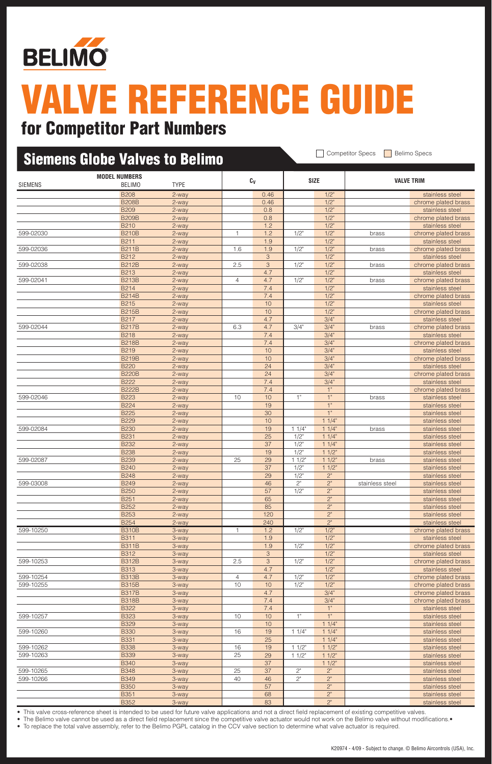

### Siemens Globe Valves to Belimo Competitor Specs Belimo Specs **Model Numbers Cv Size Valve Trim** Siemens Belimo tYPE B208 2-way 2008 2-way 2-way 20046 2008 2008 2009 2012 2020 2031 2032 2033 2040 2012 2020 2031 2032 20 B208B 2-way 2008 2-way 2-way 2014 2.02 2.46 1/2" chrome plated brass B209 2-way 2008 2-way 2-way 2-way 2-way 2008 2009 2012 2021 2021 2022 2030 2040 2051 2062 2071 2082 2082 2082 20 B209B 2-way 2008 2-way 2-way 2008 2-way 2008 2-way 2008 2-way 2008 2009 2012 B210 2-way 2-way 1.2 1.2 1/2" stainless steel 599-02030 **B210B** 2-way 1 1 1.2 1/2" 1/2" brass chrome plated brass B211 2-way 1.9 1.9 1/2" stainless steel 599-02036 B211B 2-way 1.6 1.9 1/2" 1/2" brass chrome plated brass B212 2-way 3 1/2" stainless steel 599-02038 B212B 2-way 2.5 3 1/2" 1/2" brass chrome plated brass B213 2-way 2-way 2-way 2-way 2-way 2-way 2-way 2-way 2-way 2-way 2-way 2-way 2-way 2-way 2-way 2-way 2-way 2-way 2-way 2-way 2-way 2-way 2-way 2-way 2-way 2-way 2-way 2-way 2-way 2-way 2-way 2-way 2-way 2-way 2-way 2-way 2 599-02041 B213B 2-way 4 4.7 1/2" 1/2" brass chrome plated brass B214 2-way 7.4 1/2" stainless steel B214B 2-way 7.4 1/2" chrome plated brass B215 2-way 10 10 1/2" stainless steel B215B 2-way 10 10 1/2" chrome plated brass B217 2-way 2-way 2-way 2-way 2-way 2-way 2-way 2-way 2-way 2-way 3/4" 3/4" 2-way 3/4" 2-way 3/4" 2-way 3/4" 2-way 3/4" 2-way 3/4" 2-way 3/4" 2-way 3/4" 2-way 3/4" 2-way 3/4" 2-way 3/4" 2-way 3/4" 2-way 3/4" 2-way 3/4" 2-wa 599-02044 B217B 2-way 6.3 4.7 3/4" 3/4" brass chrome plated brass B218 2-way 2-way 2-way 2-way 2-way 2-way 2-way 2-way 2-mail 2014 2014 3/4" B218B 2-way 2-way 7.4 3/4" Chrome plated brass B219 2-way 10 10 3/4" stainless steel B219B 2-way 2-way 10 10 3/4" chrome plated brass B220 2-way 24 24 3/4" stainless steel B220B 2-way 2-way 24 24 3/4" chrome plated brass B222 2-way 2-way 7.4 3/4" stainless steel<br>B222B 2-way 7.4 1" chrome plated br B222B 2-way 2-way 7.4 1" chrome plated brass 599-02046 B223 2-way 10 10 1" 1" brass stainless steel B224 2-way 19 19 19 1<sup>"</sup> stainless steel B225 2-way 30 1" stainless steel B229 2-way 10 10 10 11/4" stainless steel 599-02084 B230 2-way 19 1 1/4" 1 1/4" brass stainless steel B231 2-way 25 1/2" 1 1/4" stainless stee B232 2-way 2-way 37 1/2" 1 1/4" stainless steel<br>B238 2-way 19 1/2" 1 1/2" stainless steel B238 2-way 19 1/2" 1 1/2" **1** 2" stainless steel 599-02087 B239 2-way | 25 29 | 11/2" 11/2" | brass stainless steel B240 2-way 2-way 2012 37 1/2" 1 1/2" stainless steel B248 2-way 2-way 29 1/2" 2" stainless steel 599-03008 B249 2-way 46 2" 2" stainless steel stainless steel B250 2-way 2-way 57 1/2" 2" stainless steel B251 2-way 2009 2-way 2009 B251 2-way 2009 2-way 2009 2-way 3.5 at 2.5 at 2.6 at 2.6 at 2.6 at 2.6 at 2.6 at 2.6 at 2.6 at 2.6 at 2.6 at 2.6 at 2.6 at 2.6 at 2.6 at 2.6 at 2.6 at 2.6 at 2.6 at 2.6 at 2.6 at 2.6 at 2.6 at 2 B252 2-way 2 35 2" stainless steel B253 2-way 120 2" 2" stainless steel B254 2-way 20 240 2" stainless steel 599-10250 B310B 3-way 1 1.2 1/2" 1/2" chrome plated brass B311 3-way 1.9 1.9 1.9 1/2" stainless steel B311B 3-way 1.9 1/2" 1/2" | chrome plated brass B312 3-way 1/2" 3 1/2" stainless steel 599-10253 B312B 3-way 2.5 3 1/2" 1/2" chrome plated brass B313 3-way 1/2" 3-way 2.5 and 3-way 2.5 and 3.7 and 3.7 and 3.7 and 3.7 and 3.7 and 3.7 and 3.7 and 3.7 and 3.7 and 3.7 and 3.7 and 3.7 and 3.7 and 3.7 and 3.7 and 3.7 and 3.7 and 3.7 and 3.7 and 3.7 and 3.7 and 3.7 and 3. 599-10254 B313B 3-way 4 4.7 1/2" 1/2" Chrome plated brass 599-10255 B315B 3-way 10 10 1/2" 1/2" Chrome plated brass 3-way 10 1/2" 1/2" Chrome plated brass B317B 3-way 3-way 4.7 4.7 3/4" chrome plated brass B318B 3-way 3-way 7.4 3/4" chrome plated brass B322 3-way 7.4 1" stainless steel<br>
B323 3-way 10 10 1" 1" stainless steel 599-10257 B323 3-way 10 10 1" 1" stainless steel

This valve cross-reference sheet is intended to be used for future valve applications and not a direct field replacement of existing competitive valves

The Belimo valve cannot be used as a direct field replacement since the competitive valve actuator would not work on the Belimo valve without modifications.

599-10260 B330 3-way 16 19 1 1/4" 1 1/4" stainless steel

599-10262 B338 3-way 16 19 1 1/2" 1 1/2" stainless steel 599-10263 B339 3-way 25 29 1 1/2" 1 1/2" stainless steel

599-10265 B348 3-way 25 37 2" 2" stainless steel 599-10266 B349 3-way | 40 46 | 2" stainless steel

B329 3-way 10 10 1 1/4" stainless steel

B331 3-way 25 1 1/4" stainless steel

B340 3-way 37 1 1/2" stainless steel<br>
B348 3-way 25 37 2" 2" stainless steel

B350 3-way 3-way 57 57 2" Stainless steel B351 3-way 3-way 68 3 2" stainless steel B352 3-way 83 2" stainless steel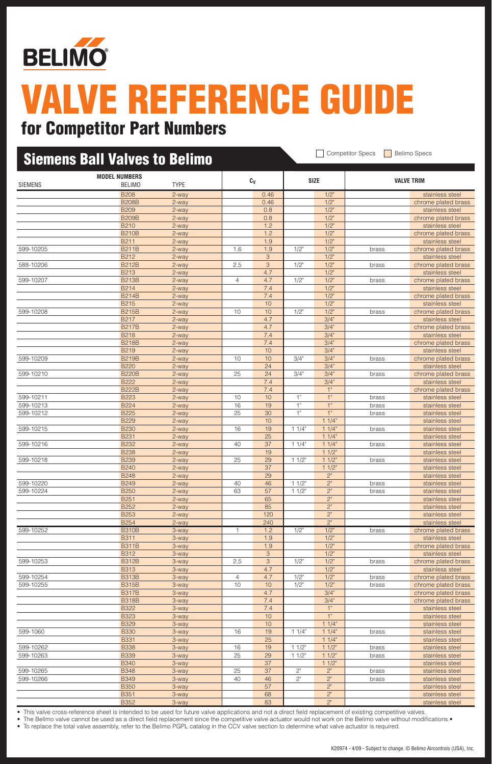

### Siemens Ball Valves to Belimo Competitor Specs Belimo Specs **Model Numbers Cv Size Valve Trim** Siemens Belimo tYPE B208 2-way 2008 2-way 2-way 20046 2008 2008 2009 2012 2020 2031 2032 2033 2040 2012 2020 2031 2032 20 B208B 2-way 2008 2-way 2-way 2008 2-way 2008 2-way 2008 2-way 2008 2-way 2008 2014 2014 2015 2016 2016 2017 20 B209 2-way 2008 2-way 2-way 2-way 2-way 2008 2009 2012 2021 2021 2022 2030 2040 2051 2062 2071 2082 2082 2082 20 B209B 2-way 2008 2-way 2-way 2008 2-way 2008 2-way 2008 2-way 2008 2009 2012 B210 2-way 2-way 1.2 1.2 1/2" stainless steel B210B 2-way 2-way 1.2 1.2 1/2" chrome plated brass B211 2-way 1.9 1.9 1/2" stainless steel 599-10205 B211B 2-way 1.6 1.9 1/2" 1/2" brass chrome plated brass B212 2-way 3 1/2" stainless steel 588-10206 B212B 2-way 2.5 3 1/2" 1/2" brass chrome plated brass B213 2-way 2-way 2-way 2-way 2-way 2-way 2-way 2-way 2-way 2-way 2-way 2-way 2-way 2-way 2-way 2-way 2-way 2-way 2-way 2-way 2-way 2-way 2-way 2-way 2-way 2-way 2-way 2-way 2-way 2-way 2-way 2-way 2-way 2-way 2-way 2-way 2 599-10207 B213B 2-way 4 4.7 1/2" 1/2" brass chrome plated brass B214 2-way 7.4 1/2" stainless steel B214B 2-way 7.4 1/2" chrome plated brass B215 2-way 10 10 1/2" stainless steel 599-10208 B215B 2-way 10 10 1/2" 1/2" brass chrome plated brass B217 2-way 2-way 2-way 2-way 2-way 2-way 2-way 2-way 2-way 2-way 3/4" 3/4" 2-way 3/4" 2-way 3/4" 2-way 3/4" 2-way 3/4" 2-way 3/4" 2-way 3/4" 2-way 3/4" 2-way 3/4" 2-way 3/4" 2-way 3/4" 2-way 3/4" 2-way 3/4" 2-way 3/4" 2-wa B217B 2-way 4.7 3/4" chrome plated brass B218 2-way 2-way 2-way 2-way 2-way 2-way 2-way 2-way 2-mail 2014 2014 3/4" B218B 2-way 2-way 7.4 3/4 300 2 2 2 2 3 3 chrome plated brass B219 2-way 10 10 3/4" stainless steel 599-10209 B219B 2-way 10 10 3/4" 3/4" brass chrome plated brass B220 2-way 24 24 3/4" stainless steel 599-10210 B220B 2-way 25 24 3/4" 3/4" brass chrome plated brass B222 2-way 2-way 2-way 2-way 2-way 2-way 2-way 2-way 2-way 2-way 2-way 2-way 2-way 2-way 2-way 2-way 2-way 2-way 2-way 2-way 2-way 2-way 2-way 2-way 2-way 2-way 2-way 2-way 2-way 2-way 2-way 2-way 2-way 2-way 2-way 2-way 2 B222B 2-way 2-way 2-way 2-way 2-way 2-way 2-way 2-way 2-way 2-way 2-way 2-way 2-way 2-way 2-chrome plated brass 599-10211 B223 2-way 10 10 1" 1" brass stainless steel 599-10213 B224 2-way 16 19 1" 1" brass stainless steel 599-10212 B225 2-way 25 30 1" 1" brass stainless steel B229 2-way 10 10 10 11/4" stainless steel 599-10215 B230 2-way | 16 19 | 1 1/4" | 11/4" | brass stainless steel B231 2-way 25 1 1/4" stainless steel 599-10216 B232 2-way 40 37 1 1/4" 1 1/4" brass stainless steel B238 2-way 19 19 12 11/2" stainless steel 599-10218 B239 2-way | 25 29 | 11/2" 11/2" | brass stainless steel B240 2-way and 2-way 2-way 2-way 2-way 2-way 2-way 2-way 37 2-way 37 2-way 2-way 2-way 37 2-way 2-way 2-way 2-way 2-way 2-way 2-way 2-way 2-way 2-way 2-way 2-way 2-way 2-way 2-way 2-way 2-way 2-way 2-way 2-way 2-way 2-way B248 2-way 29 2<sup>"</sup> 2<sup>2</sup> 2<sup>"</sup> 2<sup>"</sup> stainless steel 599-10220 B249 2-way 40 46 1 1/2" 2" brass stainless steel 599-10224 B250 2-way 63 57 1 1/2" 2" brass stainless steel B251 2-way 2009 2-way 2009 B251 2-way 2009 2-way 2009 2-way 3.5 at 2.5 at 2.6 at 2.6 at 2.6 at 2.6 at 2.6 at 2.6 at 2.6 at 2.6 at 2.6 at 2.6 at 2.6 at 2.6 at 2.6 at 2.6 at 2.6 at 2.6 at 2.6 at 2.6 at 2.6 at 2.6 at 2.6 at 2 B252 2-way 2 35 2<sup>"</sup> stainless steel B253 2-way 120 2" 2" stainless steel B254 2-way 240 240 2" stainless steel 599-10252 B310B 3-way 1 1.2 1/2" 1/2" brass chrome plated brass B311 3-way 1.9 1.9 1.9 1/2" stainless steel B311B 3-way 1.9 1.9 1/2" chrome plated brass B312 3-way 1/2" 3 1/2" stainless steel 599-10253 B312B 3-way 2.5 3 1/2" 1/2" brass chrome plated brass B313 3-way 1/2" 3-way 2.5 and 3-way 2.5 and 4.7 and 1/2" stainless steel 599-10254 **B313B** 3-way 4 4.7 1/2" 1/2" brass chrome plated brass 3-way 3-way 4 4.7 1/2" 1/2" brass chrome plated brass 599-10255 B315B 3-way 10 10 1/2" 1/2" brass chrome plated brass chrome plated brass chrome plated brass chrome plated brass chrome plated brass chrome plated brass chrome plated brass chrome plated brass chrome plated bras B317B 3-way 3-way 4.7 4.7 3/4" chrome plated brass B318B 3-way 3-way 7.4 3/4" chrome plated brass B322 3-way 7.4 1" stainless steel B323 3-way 10 10 1<sup>"</sup> 1<sup>"</sup> stainless steel B329 3-way 10 10 11/4" stainless steel 599-1060 B330 3-way 16 19 1 1/4" 1 1/4" brass stainless steel B331 3-way 25 25 1 1/4" stainless steel 599-10262 B338 3-way 16 19 1 1/2" 1 1/2" brass stainless steel 599-10263 B339 3-way 25 29 1 1/2" 1 1/2" brass stainless steel B340 3-way 37 11/2" stainless steel<br>B348 3-way 25 37 2" 2" brass stainless steel 599-10265 B348 3-way 25 37 2" 2" brass stainless steel 599-10266 B349 3-way 40 46 2" 2" brass stainless steel B350 3-way 57 2" stainless steel

B352 3-way 83 2" stainless steel This valve cross-reference sheet is intended to be used for future valve applications and not a direct field replacement of existing competitive valves

The Belimo valve cannot be used as a direct field replacement since the competitive valve actuator would not work on the Belimo valve without modifications.

B351 3-way 3-way 68 3 2" stainless steel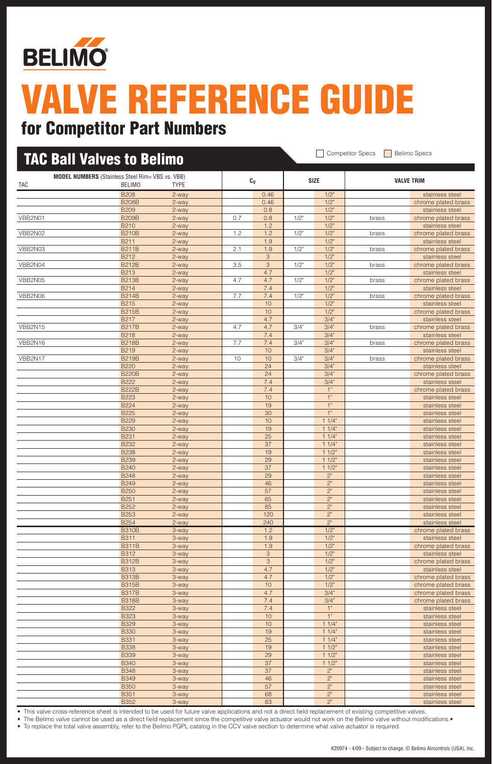

## for Competitor Part Numbers

| <b>TAC Ball Valves to Belimo</b> |                                                                          |                   |     |                       | <b>Competitor Specs</b><br><b>Belimo Specs</b> |                    |       |                                        |  |
|----------------------------------|--------------------------------------------------------------------------|-------------------|-----|-----------------------|------------------------------------------------|--------------------|-------|----------------------------------------|--|
| TAC                              | <b>MODEL NUMBERS</b> (Stainless Steel Rim= VBS vs. VBB)<br><b>BELIMO</b> | <b>TYPE</b>       |     | Cv                    |                                                | <b>SIZE</b>        |       | <b>VALVE TRIM</b>                      |  |
|                                  | <b>B208</b>                                                              | 2-way             |     | 0.46                  |                                                | $1/2$ "            |       | stainless steel                        |  |
|                                  | <b>B208B</b>                                                             | 2-way             |     | 0.46                  |                                                | $1/2$ "            |       | chrome plated brass                    |  |
|                                  | <b>B209</b>                                                              | 2-way             |     | 0.8                   |                                                | $1/2$ "            |       | stainless steel                        |  |
| VBB2N01                          | <b>B209B</b>                                                             | 2-way             | 0.7 | 0.8                   | 1/2"                                           | $1/2$ "            | brass | chrome plated brass                    |  |
|                                  | <b>B210</b>                                                              | 2-way             |     | 1.2                   |                                                | $1/2$ "            |       | stainless steel                        |  |
| VBB2N02                          | <b>B210B</b><br><b>B211</b>                                              | 2-way<br>$2$ -way | 1.2 | 1.2<br>1.9            | $1/2$ "                                        | $1/2$ "<br>$1/2$ " | brass | chrome plated brass<br>stainless steel |  |
| VBB2N03                          | <b>B211B</b>                                                             | 2-way             | 2.1 | 1.9                   | $1/2$ "                                        | $1/2$ "            | brass | chrome plated brass                    |  |
|                                  | B212                                                                     | 2-way             |     | 3                     |                                                | $1/2$ "            |       | stainless steel                        |  |
| VBB2N04                          | <b>B212B</b>                                                             | 2-way             | 3.5 | 3                     | $1/2$ "                                        | $1/2$ "            | brass | chrome plated brass                    |  |
|                                  | <b>B213</b>                                                              | 2-way             |     | 4.7                   |                                                | $1/2$ "            |       | stainless steel                        |  |
| VBB2N05                          | <b>B213B</b>                                                             | 2-way             | 4.7 | 4.7                   | 1/2"                                           | $1/2$ "            | brass | chrome plated brass                    |  |
|                                  | <b>B214</b>                                                              | 2-way             |     | 7.4                   |                                                | $1/2$ "            |       | stainless steel                        |  |
| VBB2N06                          | <b>B214B</b><br><b>B215</b>                                              | 2-way             | 7.7 | 7.4<br>10             | 1/2"                                           | $1/2$ "<br>$1/2$ " | brass | chrome plated brass<br>stainless steel |  |
|                                  | <b>B215B</b>                                                             | 2-way<br>2-way    |     | 10                    |                                                | $1/2$ "            |       | chrome plated brass                    |  |
|                                  | <b>B217</b>                                                              | 2-way             |     | 4.7                   |                                                | 3/4"               |       | stainless steel                        |  |
| VBB2N15                          | <b>B217B</b>                                                             | 2-way             | 4.7 | 4.7                   | 3/4"                                           | 3/4"               | brass | chrome plated brass                    |  |
|                                  | <b>B218</b>                                                              | 2-way             |     | 7.4                   |                                                | 3/4"               |       | stainless steel                        |  |
| VBB2N16                          | <b>B218B</b>                                                             | 2-way             | 7.7 | 7.4                   | 3/4"                                           | 3/4"               | brass | chrome plated brass                    |  |
|                                  | <b>B219</b>                                                              | 2-way             |     | 10                    |                                                | 3/4"               |       | stainless steel                        |  |
| VBB2N17                          | <b>B219B</b>                                                             | 2-way             | 10  | 10                    | 3/4"                                           | 3/4"               | brass | chrome plated brass                    |  |
|                                  | <b>B220</b><br><b>B220B</b>                                              | 2-way<br>2-way    |     | 24<br>24              |                                                | 3/4"<br>3/4"       |       | stainless steel<br>chrome plated brass |  |
|                                  | <b>B222</b>                                                              | 2-way             |     | 7.4                   |                                                | 3/4"               |       | stainless steel                        |  |
|                                  | <b>B222B</b>                                                             | 2-way             |     | 7.4                   |                                                | 1"                 |       | chrome plated brass                    |  |
|                                  | <b>B223</b>                                                              | 2-way             |     | 10                    |                                                | 1"                 |       | stainless steel                        |  |
|                                  | <b>B224</b>                                                              | 2-way             |     | 19                    |                                                | 1"                 |       | stainless steel                        |  |
|                                  | <b>B225</b>                                                              | 2-way             |     | 30                    |                                                | 1"                 |       | stainless steel                        |  |
|                                  | <b>B229</b><br><b>B230</b>                                               | 2-way             |     | 10<br>19              |                                                | 11/4"<br>11/4"     |       | stainless steel                        |  |
|                                  | <b>B231</b>                                                              | 2-way<br>2-way    |     | 25                    |                                                | 11/4"              |       | stainless steel<br>stainless steel     |  |
|                                  | <b>B232</b>                                                              | 2-way             |     | 37                    |                                                | 11/4"              |       | stainless steel                        |  |
|                                  | <b>B238</b>                                                              | 2-way             |     | 19                    |                                                | 11/2"              |       | stainless steel                        |  |
|                                  | <b>B239</b>                                                              | 2-way             |     | 29                    |                                                | 11/2"              |       | stainless steel                        |  |
|                                  | <b>B240</b>                                                              | 2-way             |     | 37                    |                                                | 11/2"              |       | stainless steel                        |  |
|                                  | <b>B248</b>                                                              | 2-way             |     | 29                    |                                                | 2"                 |       | stainless steel                        |  |
|                                  | <b>B249</b><br><b>B250</b>                                               | 2-way             |     | 46<br>57              |                                                | 2"                 |       | stainless steel                        |  |
|                                  | <b>B251</b>                                                              | 2-way<br>2-way    |     | 65                    |                                                | 2"<br>2"           |       | stainless steel<br>stainless steel     |  |
|                                  | <b>B252</b>                                                              | 2-way             |     | 85                    |                                                | $2^{\circ}$        |       | stainless steel                        |  |
|                                  | <b>B253</b>                                                              | 2-way             |     | 120                   |                                                | $2^{\circ}$        |       | stainless steel                        |  |
|                                  | <b>B254</b>                                                              | $2$ -way          |     | 240                   |                                                | $2"$               |       | stainless steel                        |  |
|                                  | <b>B310B</b>                                                             | 3-way             |     | 1.2                   |                                                | $1/2$ "            |       | chrome plated brass                    |  |
|                                  | <b>B311</b>                                                              | 3-way             |     | 1.9                   |                                                | 1/2"               |       | stainless steel                        |  |
|                                  | <b>B311B</b><br><b>B312</b>                                              | 3-way<br>3-way    |     | 1.9<br>$\sqrt{3}$     |                                                | $1/2$ "<br>$1/2$ " |       | chrome plated brass<br>stainless steel |  |
|                                  | <b>B312B</b>                                                             | 3-way             |     | $\overline{3}$        |                                                | $1/2$ "            |       | chrome plated brass                    |  |
|                                  | <b>B313</b>                                                              | 3-way             |     | 4.7                   |                                                | $1/2$ "            |       | stainless steel                        |  |
|                                  | <b>B313B</b>                                                             | 3-way             |     | 4.7                   |                                                | 1/2"               |       | chrome plated brass                    |  |
|                                  | <b>B315B</b>                                                             | 3-way             |     | 10                    |                                                | $1/2$ "            |       | chrome plated brass                    |  |
|                                  | <b>B317B</b>                                                             | 3-way             |     | 4.7                   |                                                | 3/4"               |       | chrome plated brass                    |  |
|                                  | <b>B318B</b>                                                             | 3-way             |     | 7.4                   |                                                | 3/4"<br>1"         |       | chrome plated brass                    |  |
|                                  | <b>B322</b><br><b>B323</b>                                               | 3-way<br>3-way    |     | 7.4<br>10             |                                                | 1"                 |       | stainless steel<br>stainless steel     |  |
|                                  | <b>B329</b>                                                              | 3-way             |     | 10                    |                                                | 11/4               |       | stainless steel                        |  |
|                                  | <b>B330</b>                                                              | 3-way             |     | 19                    |                                                | 11/4"              |       | stainless steel                        |  |
|                                  | <b>B331</b>                                                              | 3-way             |     | 25                    |                                                | 11/4"              |       | stainless steel                        |  |
|                                  | <b>B338</b>                                                              | 3-way             |     | 19                    |                                                | $11/2$ "           |       | stainless steel                        |  |
|                                  | <b>B339</b>                                                              | 3-way             |     | 29                    |                                                | 11/2"              |       | stainless steel                        |  |
|                                  | <b>B340</b>                                                              | 3-way             |     | 37<br>$\overline{37}$ |                                                | 11/2               |       | stainless steel                        |  |
|                                  | <b>B348</b><br><b>B349</b>                                               | 3-way<br>3-way    |     | 46                    |                                                | $2^{\circ}$<br>2"  |       | stainless steel<br>stainless steel     |  |
|                                  | <b>B350</b>                                                              | 3-way             |     | 57                    |                                                | 2"                 |       | stainless steel                        |  |
|                                  | <b>B351</b>                                                              | 3-way             |     | 68                    |                                                | $2"$               |       | stainless steel                        |  |
|                                  | <b>B352</b>                                                              | 3-way             |     | 83                    |                                                | 2 <sup>n</sup>     |       | stainless steel                        |  |

• This valve cross-reference sheet is intended to be used for future valve applications and not a direct field replacement of existing competitive valves.

• The Belimo valve cannot be used as a direct field replacement since the competitive valve actuator would not work on the Belimo valve without modifications.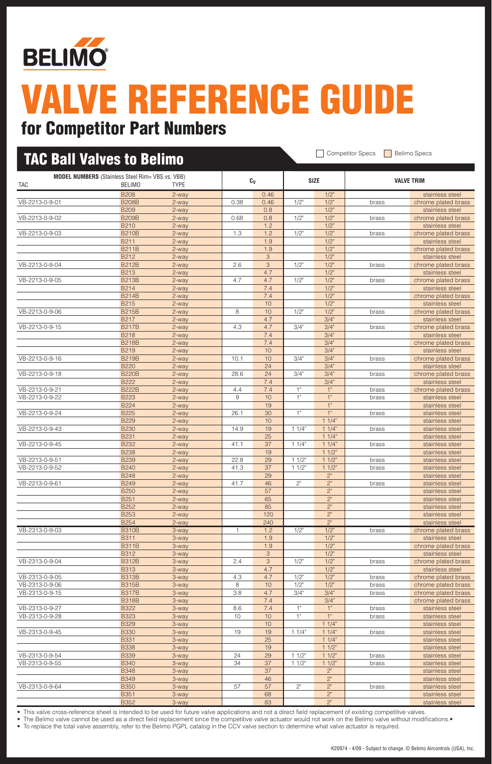

| <b>TAC Ball Valves to Belimo</b> |                                                                          |                |              |                           |          |                      | <b>Competitor Specs</b> | <b>Belimo Specs</b>                        |
|----------------------------------|--------------------------------------------------------------------------|----------------|--------------|---------------------------|----------|----------------------|-------------------------|--------------------------------------------|
| TAC                              | <b>MODEL NUMBERS</b> (Stainless Steel Rim= VBS vs. VBB)<br><b>BELIMO</b> | <b>TYPE</b>    |              | $c_v$                     |          | <b>SIZE</b>          |                         | <b>VALVE TRIM</b>                          |
|                                  | <b>B208</b>                                                              | 2-way          |              | 0.46                      |          | $1/2$ "              |                         | stainless steel                            |
| VB-2213-0-9-01                   | <b>B208B</b>                                                             | 2-way          | 0.38         | 0.46                      | $1/2$ "  | $1/2$ "              | brass                   | chrome plated brass                        |
|                                  | <b>B209</b>                                                              | 2-way          |              | 0.8                       |          | $1/2$ "              |                         | stainless steel                            |
| VB-2213-0-9-02                   | <b>B209B</b><br><b>B210</b>                                              | 2-way<br>2-way | 0.68         | 0.8<br>1.2                | 1/2"     | $1/2$ "<br>$1/2$ "   | brass                   | chrome plated brass<br>stainless steel     |
| VB-2213-0-9-03                   | <b>B210B</b>                                                             | 2-way          | 1.3          | 1.2                       | $1/2$ "  | $1/2$ "              | brass                   | chrome plated brass                        |
|                                  | <b>B211</b>                                                              | 2-way          |              | 1.9                       |          | $1/2$ "              |                         | stainless steel                            |
|                                  | <b>B211B</b>                                                             | 2-way          |              | 1.9                       |          | $1/2$ "              |                         | chrome plated brass                        |
|                                  | B212                                                                     | 2-way          |              | 3                         |          | $1/2$ "              |                         | stainless steel                            |
| VB-2213-0-9-04                   | <b>B212B</b>                                                             | 2-way          | 2.6          | $\ensuremath{\mathsf{3}}$ | $1/2$ "  | $1/2$ "              | brass                   | chrome plated brass                        |
| VB-2213-0-9-05                   | <b>B213</b><br><b>B213B</b>                                              | 2-way<br>2-way | 4.7          | 4.7<br>4.7                | $1/2$ "  | 1/2"<br>$1/2$ "      | brass                   | stainless steel<br>chrome plated brass     |
|                                  | <b>B214</b>                                                              | 2-way          |              | 7.4                       |          | $1/2$ "              |                         | stainless steel                            |
|                                  | <b>B214B</b>                                                             | 2-way          |              | 7.4                       |          | $1/2$ "              |                         | chrome plated brass                        |
|                                  | <b>B215</b>                                                              | 2-way          |              | 10                        |          | $1/2$ "              |                         | stainless steel                            |
| VB-2213-0-9-06                   | <b>B215B</b>                                                             | 2-way          | 8            | 10                        | $1/2$ "  | $1/2$ "              | brass                   | chrome plated brass                        |
|                                  | <b>B217</b>                                                              | 2-way          |              | 4.7                       |          | 3/4"                 |                         | stainless steel                            |
| VB-2213-0-9-15                   | <b>B217B</b>                                                             | 2-way          | 4.3          | 4.7                       | 3/4"     | 3/4"                 | brass                   | chrome plated brass                        |
|                                  | <b>B218</b><br><b>B218B</b>                                              | 2-way<br>2-way |              | 7.4<br>7.4                |          | 3/4"<br>3/4"         |                         | stainless steel<br>chrome plated brass     |
|                                  | <b>B219</b>                                                              | 2-way          |              | 10                        |          | 3/4"                 |                         | stainless steel                            |
| VB-2213-0-9-16                   | <b>B219B</b>                                                             | 2-way          | 10.1         | 10                        | 3/4"     | 3/4"                 | brass                   | chrome plated brass                        |
|                                  | <b>B220</b>                                                              | 2-way          |              | 24                        |          | 3/4"                 |                         | stainless steel                            |
| VB-2213-0-9-18                   | <b>B220B</b>                                                             | 2-way          | 28.6         | 24                        | 3/4"     | 3/4"                 | brass                   | chrome plated brass                        |
|                                  | <b>B222</b>                                                              | 2-way          |              | 7.4                       |          | 3/4"                 |                         | stainless steel                            |
| VB-2213-0-9-21                   | <b>B222B</b>                                                             | 2-way          | 4.4<br>9     | 7.4                       | 1"<br>1" | 1"<br>1"             | brass                   | chrome plated brass                        |
| VB-2213-0-9-22                   | <b>B223</b><br><b>B224</b>                                               | 2-way<br>2-way |              | 10<br>19                  |          | 1"                   | brass                   | stainless steel<br>stainless steel         |
| VB-2213-0-9-24                   | <b>B225</b>                                                              | 2-way          | 26.1         | 30                        | 1"       | 1"                   | brass                   | stainless steel                            |
|                                  | <b>B229</b>                                                              | 2-way          |              | 10                        |          | 11/4"                |                         | stainless steel                            |
| VB-2213-0-9-43                   | <b>B230</b>                                                              | 2-way          | 14.9         | 19                        | 11/4"    | 11/4"                | brass                   | stainless steel                            |
|                                  | <b>B231</b>                                                              | 2-way          |              | 25                        |          | 11/4"                |                         | stainless steel                            |
| VB-2213-0-9-45                   | <b>B232</b>                                                              | 2-way          | 41.1         | 37                        | 11/4"    | 11/4"                | brass                   | stainless steel                            |
| VB-2213-0-9-51                   | <b>B238</b><br><b>B239</b>                                               | 2-way          | 22.8         | 19<br>29                  | 11/2"    | 11/2"<br>11/2"       |                         | stainless steel                            |
| VB-2213-0-9-52                   | <b>B240</b>                                                              | 2-way<br>2-way | 41.3         | 37                        | 11/2"    | 11/2"                | brass<br>brass          | stainless steel<br>stainless steel         |
|                                  | <b>B248</b>                                                              | 2-way          |              | 29                        |          | $2^{\circ}$          |                         | stainless steel                            |
| VB-2213-0-9-61                   | <b>B249</b>                                                              | 2-way          | 41.7         | 46                        | 2"       | 2"                   | brass                   | stainless steel                            |
|                                  | <b>B250</b>                                                              | 2-way          |              | 57                        |          | 2"                   |                         | stainless steel                            |
|                                  | <b>B251</b>                                                              | 2-way          |              | 65                        |          | 2"                   |                         | stainless steel                            |
|                                  | <b>B252</b>                                                              | 2-way          |              | 85                        |          | 2"                   |                         | stainless steel                            |
|                                  | <b>B253</b><br><b>B254</b>                                               | 2-way<br>2-way |              | 120<br>240                |          | 2"<br>2"             |                         | stainless steel<br>stainless steel         |
| VB-2313-0-9-03                   | <b>B310B</b>                                                             | 3-way          | $\mathbf{1}$ | 1.2                       | $1/2$ "  | 1/2"                 | brass                   | chrome plated brass                        |
|                                  | <b>B311</b>                                                              | 3-way          |              | 1.9                       |          | $1/2$ "              |                         | stainless steel                            |
|                                  | <b>B311B</b>                                                             | 3-way          |              | 1.9                       |          | $1/2$ "              |                         | chrome plated brass                        |
|                                  | <b>B312</b>                                                              | 3-way          |              | 3                         |          | $1/2$ "              |                         | stainless steel                            |
| VB-2313-0-9-04                   | <b>B312B</b>                                                             | 3-way          | 2.4          | 3                         | $1/2$ "  | $1/2$ "              | brass                   | chrome plated brass                        |
| VB-2313-0-9-05                   | <b>B313</b><br><b>B313B</b>                                              | 3-way          |              | 4.7<br>4.7                | 1/2"     | $1/2$ "<br>1/2"      |                         | stainless steel                            |
| VB-2313-0-9-06                   | <b>B315B</b>                                                             | 3-way<br>3-way | 4.3<br>8     | 10                        | $1/2$ "  | 1/2"                 | brass<br>brass          | chrome plated brass<br>chrome plated brass |
| VB-2313-0-9-15                   | <b>B317B</b>                                                             | 3-way          | 3.8          | 4.7                       | 3/4"     | 3/4"                 | brass                   | chrome plated brass                        |
|                                  | <b>B318B</b>                                                             | 3-way          |              | 7.4                       |          | 3/4"                 |                         | chrome plated brass                        |
| VB-2313-0-9-27                   | <b>B322</b>                                                              | 3-way          | 8.6          | 7.4                       | 1"       | $1"$                 | brass                   | stainless steel                            |
| VB-2313-0-9-28                   | <b>B323</b>                                                              | 3-way          | 10           | 10                        | 1"       | 1"                   | brass                   | stainless steel                            |
|                                  | <b>B329</b>                                                              | 3-way          |              | 10                        |          | 11/4"                |                         | stainless steel                            |
| VB-2313-0-9-45                   | <b>B330</b>                                                              | 3-way          | 19           | 19<br>25                  | 11/4"    | 11/4"                | brass                   | stainless steel                            |
|                                  | <b>B331</b><br><b>B338</b>                                               | 3-way<br>3-way |              | 19                        |          | 11/4"<br>$11/2$ "    |                         | stainless steel<br>stainless steel         |
| VB-2313-0-9-54                   | <b>B339</b>                                                              | 3-way          | 24           | 29                        | 11/2"    | 11/2"                | brass                   | stainless steel                            |
| VB-2313-0-9-55                   | <b>B340</b>                                                              | 3-way          | 34           | 37                        | 11/2"    | 11/2"                | brass                   | stainless steel                            |
|                                  | <b>B348</b>                                                              | 3-way          |              | 37                        |          | $2^{\circ}$          |                         | stainless steel                            |
|                                  | <b>B349</b>                                                              | 3-way          |              | 46                        |          | 2"                   |                         | stainless steel                            |
| VB-2313-0-9-64                   | <b>B350</b>                                                              | 3-way          | 57           | 57                        | $2"$     | 2"                   | brass                   | stainless steel                            |
|                                  | <b>B351</b><br><b>B352</b>                                               | 3-way<br>3-way |              | 68<br>83                  |          | 2"<br>2 <sup>n</sup> |                         | stainless steel<br>stainless steel         |
|                                  |                                                                          |                |              |                           |          |                      |                         |                                            |

This valve cross-reference sheet is intended to be used for future valve applications and not a direct field replacement of existing competitive valves.

• The Belimo valve cannot be used as a direct field replacement since the competitive valve actuator would not work on the Belimo valve without modifications.•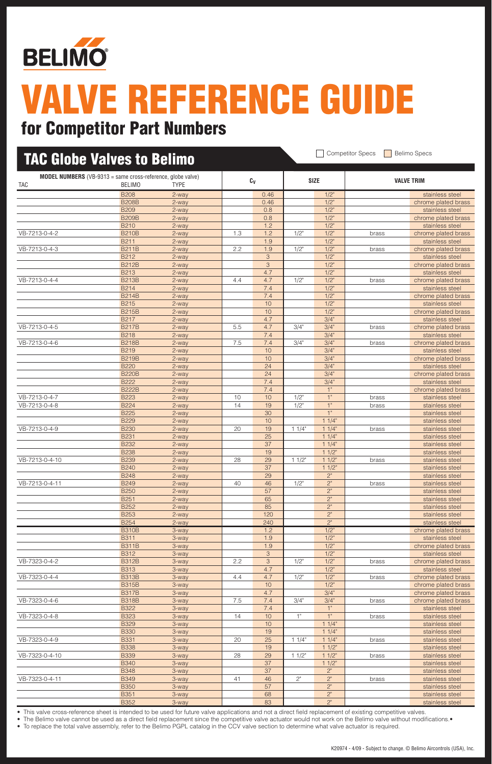

## for Competitor Part Numbers

| <b>TAC Globe Valves to Belimo</b> |                                                                                     |                |     |                           |         |                    | <b>Competitor Specs</b> | <b>Belimo Specs</b>                    |
|-----------------------------------|-------------------------------------------------------------------------------------|----------------|-----|---------------------------|---------|--------------------|-------------------------|----------------------------------------|
| TAC                               | <b>MODEL NUMBERS</b> (VB-9313 = same cross-reference, globe valve)<br><b>BELIMO</b> | <b>TYPE</b>    |     | $c_v$                     |         | <b>SIZE</b>        |                         | <b>VALVE TRIM</b>                      |
|                                   | <b>B208</b>                                                                         | 2-way          |     | 0.46                      |         | $1/2$ "            |                         | stainless steel                        |
|                                   | <b>B208B</b>                                                                        | 2-way          |     | 0.46                      |         | $1/2$ "            |                         | chrome plated brass                    |
|                                   | <b>B209</b>                                                                         | 2-way          |     | 0.8                       |         | $1/2$ "            |                         | stainless steel                        |
|                                   | <b>B209B</b>                                                                        | 2-way          |     | 0.8                       |         | $1/2$ "            |                         | chrome plated brass                    |
|                                   | <b>B210</b>                                                                         | 2-way          |     | 1.2                       |         | $1/2$ "            |                         | stainless steel                        |
| VB-7213-0-4-2                     | <b>B210B</b><br><b>B211</b>                                                         | 2-way          | 1.3 | 1.2<br>1.9                | $1/2$ " | $1/2$ "<br>$1/2$ " | brass                   | chrome plated brass<br>stainless steel |
| VB-7213-0-4-3                     | <b>B211B</b>                                                                        | 2-way<br>2-way | 2.2 | 1.9                       | 1/2"    | $1/2$ "            | brass                   | chrome plated brass                    |
|                                   | B212                                                                                | 2-way          |     | $\ensuremath{\mathsf{3}}$ |         | $1/2$ "            |                         | stainless steel                        |
|                                   | <b>B212B</b>                                                                        | 2-way          |     | 3                         |         | $1/2$ "            |                         | chrome plated brass                    |
|                                   | <b>B213</b>                                                                         | 2-way          |     | 4.7                       |         | $1/2$ "            |                         | stainless steel                        |
| VB-7213-0-4-4                     | <b>B213B</b>                                                                        | 2-way          | 4.4 | 4.7                       | $1/2$ " | 1/2"               | brass                   | chrome plated brass                    |
|                                   | <b>B214</b>                                                                         | 2-way          |     | 7.4                       |         | $1/2$ "            |                         | stainless steel                        |
|                                   | <b>B214B</b>                                                                        | 2-way          |     | 7.4                       |         | $1/2$ "            |                         | chrome plated brass                    |
|                                   | <b>B215</b>                                                                         | 2-way          |     | 10                        |         | 1/2"               |                         | stainless steel                        |
|                                   | <b>B215B</b>                                                                        | 2-way          |     | 10                        |         | $1/2$ "            |                         | chrome plated brass                    |
|                                   | <b>B217</b>                                                                         | 2-way          |     | 4.7                       |         | 3/4"               |                         | stainless steel                        |
| VB-7213-0-4-5                     | <b>B217B</b>                                                                        | 2-way          | 5.5 | 4.7                       | 3/4"    | 3/4"               | brass                   | chrome plated brass                    |
|                                   | <b>B218</b>                                                                         | 2-way          |     | 7.4                       |         | 3/4"               |                         | stainless steel                        |
| VB-7213-0-4-6                     | <b>B218B</b>                                                                        | 2-way          | 7.5 | 7.4                       | 3/4"    | 3/4"               | brass                   | chrome plated brass                    |
|                                   | B219                                                                                | 2-way          |     | 10                        |         | 3/4"               |                         | stainless steel                        |
|                                   | <b>B219B</b>                                                                        | 2-way          |     | 10                        |         | 3/4"               |                         | chrome plated brass                    |
|                                   | <b>B220</b>                                                                         | 2-way          |     | 24                        |         | 3/4"               |                         | stainless steel                        |
|                                   | <b>B220B</b><br><b>B222</b>                                                         | 2-way          |     | 24<br>7.4                 |         | 3/4"<br>3/4"       |                         | chrome plated brass                    |
|                                   | <b>B222B</b>                                                                        | 2-way<br>2-way |     | 7.4                       |         | 1"                 |                         | stainless steel<br>chrome plated brass |
| VB-7213-0-4-7                     | <b>B223</b>                                                                         | 2-way          | 10  | 10                        | 1/2"    | 1"                 | brass                   | stainless steel                        |
| VB-7213-0-4-8                     | <b>B224</b>                                                                         | 2-way          | 14  | 19                        | $1/2$ " | 1"                 | brass                   | stainless steel                        |
|                                   | <b>B225</b>                                                                         | 2-way          |     | 30                        |         | 1"                 |                         | stainless steel                        |
|                                   | <b>B229</b>                                                                         | 2-way          |     | 10                        |         | 11/4"              |                         | stainless steel                        |
| VB-7213-0-4-9                     | <b>B230</b>                                                                         | 2-way          | 20  | 19                        | 11/4"   | 11/4"              | brass                   | stainless steel                        |
|                                   | <b>B231</b>                                                                         | 2-way          |     | 25                        |         | 11/4"              |                         | stainless steel                        |
|                                   | <b>B232</b>                                                                         | 2-way          |     | 37                        |         | 11/4"              |                         | stainless steel                        |
|                                   | <b>B238</b>                                                                         | 2-way          |     | 19                        |         | 11/2"              |                         | stainless steel                        |
| VB-7213-0-4-10                    | <b>B239</b>                                                                         | 2-way          | 28  | 29                        | 11/2"   | 11/2"              | brass                   | stainless steel                        |
|                                   | <b>B240</b>                                                                         | 2-way          |     | 37                        |         | 11/2"              |                         | stainless steel                        |
|                                   | <b>B248</b>                                                                         | 2-way          |     | 29                        |         | 2"                 |                         | stainless steel                        |
| VB-7213-0-4-11                    | <b>B249</b>                                                                         | 2-way          | 40  | 46                        | 1/2"    | 2"                 | brass                   | stainless steel                        |
|                                   | <b>B250</b>                                                                         | $2-way$        |     | 57                        |         | $2"$               |                         | stainless steel                        |
|                                   | <b>B251</b><br><b>B252</b>                                                          | 2-way          |     | 65<br>85                  |         | 2"<br>2"           |                         | stainless steel                        |
|                                   | <b>B253</b>                                                                         | 2-way<br>2-way |     | 120                       |         | $2"$               |                         | stainless steel<br>stainless steel     |
|                                   | <b>B254</b>                                                                         | 2-way          |     | 240                       |         | 2"                 |                         | stainless steel                        |
|                                   | <b>B310B</b>                                                                        | 3-way          |     | 1.2                       |         | $1/2$ "            |                         | chrome plated brass                    |
|                                   | <b>B311</b>                                                                         | 3-way          |     | 1.9                       |         | 1/2"               |                         | stainless steel                        |
|                                   | <b>B311B</b>                                                                        | 3-way          |     | 1.9                       |         | $1/2$ "            |                         | chrome plated brass                    |
|                                   | <b>B312</b>                                                                         | 3-way          |     | 3                         |         | $1/2$ "            |                         | stainless steel                        |
| VB-7323-0-4-2                     | <b>B312B</b>                                                                        | 3-way          | 2.2 | 3                         | 1/2"    | $1/2$ "            | brass                   | chrome plated brass                    |
|                                   | <b>B313</b>                                                                         | 3-way          |     | 4.7                       |         | 1/2"               |                         | stainless steel                        |
| VB-7323-0-4-4                     | <b>B313B</b>                                                                        | 3-way          | 4.4 | 4.7                       | 1/2"    | $1/2$ "            | brass                   | chrome plated brass                    |
|                                   | <b>B315B</b>                                                                        | 3-way          |     | $10$                      |         | $1/2$ "            |                         | chrome plated brass                    |
|                                   | <b>B317B</b>                                                                        | 3-way          |     | 4.7                       |         | 3/4"               |                         | chrome plated brass                    |
| VB-7323-0-4-6                     | <b>B318B</b>                                                                        | 3-way          | 7.5 | 7.4                       | 3/4"    | 3/4"               | brass                   | chrome plated brass                    |
|                                   | <b>B322</b>                                                                         | 3-way          |     | 7.4                       |         | $1"$               |                         | stainless steel                        |
| VB-7323-0-4-8                     | <b>B323</b>                                                                         | 3-way          | 14  | $10$                      | 1"      | 1"                 | brass                   | stainless steel                        |
|                                   | <b>B329</b>                                                                         | 3-way          |     | $10$<br>19                |         | 11/4"<br>11/4"     |                         | stainless steel                        |
| VB-7323-0-4-9                     | <b>B330</b><br><b>B331</b>                                                          | 3-way<br>3-way | 20  | 25                        | 11/4"   | 11/4"              |                         | stainless steel<br>stainless steel     |
|                                   | <b>B338</b>                                                                         | 3-way          |     | 19                        |         | 11/2"              | brass                   | stainless steel                        |
| VB-7323-0-4-10                    | <b>B339</b>                                                                         | 3-way          | 28  | 29                        | 11/2"   | 11/2"              | brass                   | stainless steel                        |
|                                   | <b>B340</b>                                                                         | 3-way          |     | 37                        |         | 11/2"              |                         | stainless steel                        |
|                                   | <b>B348</b>                                                                         | 3-way          |     | 37                        |         | 2"                 |                         | stainless steel                        |
| VB-7323-0-4-11                    | <b>B349</b>                                                                         | 3-way          | 41  | 46                        | $2"$    | $2"$               | brass                   | stainless steel                        |
|                                   | <b>B350</b>                                                                         | 3-way          |     | 57                        |         | 2"                 |                         | stainless steel                        |
|                                   | <b>B351</b>                                                                         | 3-way          |     | 68                        |         | $2"$               |                         | stainless steel                        |
|                                   | <b>B352</b>                                                                         | 3-way          |     | 83                        |         | 2"                 |                         | stainless steel                        |

• This valve cross-reference sheet is intended to be used for future valve applications and not a direct field replacement of existing competitive valves.

• The Belimo valve cannot be used as a direct field replacement since the competitive valve actuator would not work on the Belimo valve without modifications.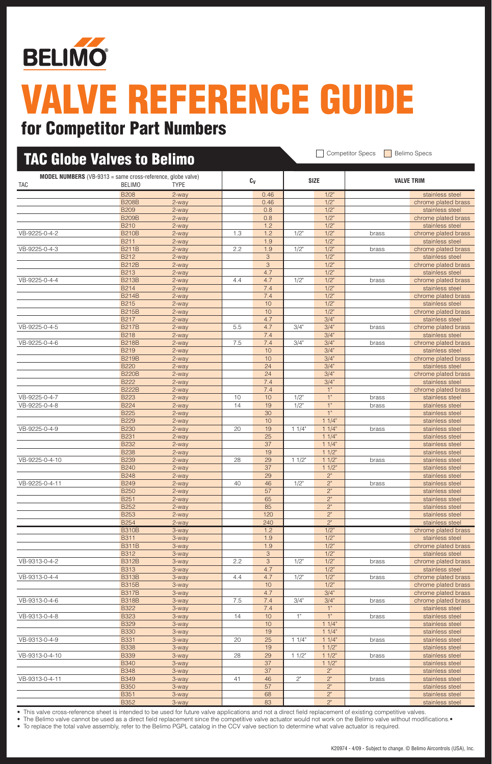

| <b>TAC Globe Valves to Belimo</b> |                                                                                     |                |     |            |         |                    | <b>Competitor Specs</b> | <b>Belimo Specs</b>                    |
|-----------------------------------|-------------------------------------------------------------------------------------|----------------|-----|------------|---------|--------------------|-------------------------|----------------------------------------|
| <b>TAC</b>                        | <b>MODEL NUMBERS</b> (VB-9313 = same cross-reference, globe valve)<br><b>BELIMO</b> | <b>TYPE</b>    |     | Cv         |         | <b>SIZE</b>        |                         | <b>VALVE TRIM</b>                      |
|                                   | <b>B208</b>                                                                         | 2-way          |     | 0.46       |         | $1/2$ "            |                         | stainless steel                        |
|                                   | <b>B208B</b>                                                                        | 2-way          |     | 0.46       |         | $1/2$ "            |                         | chrome plated brass                    |
|                                   | <b>B209</b>                                                                         | 2-way          |     | 0.8        |         | $1/2$ "            |                         | stainless steel                        |
|                                   | <b>B209B</b>                                                                        | 2-way          |     | 0.8        |         | $1/2$ "            |                         | chrome plated brass                    |
|                                   | <b>B210</b>                                                                         | 2-way          |     | 1.2        |         | $1/2$ "            |                         | stainless steel                        |
| VB-9225-0-4-2                     | <b>B210B</b>                                                                        | 2-way          | 1.3 | 1.2        | 1/2"    | $1/2$ "            | brass                   | chrome plated brass                    |
|                                   | <b>B211</b>                                                                         | 2-way          |     | 1.9        |         | $1/2$ "            |                         | stainless steel                        |
| VB-9225-0-4-3                     | <b>B211B</b>                                                                        | 2-way          | 2.2 | 1.9        | $1/2$ " | $1/2$ "            | brass                   | chrome plated brass<br>stainless steel |
|                                   | B212<br><b>B212B</b>                                                                | 2-way<br>2-way |     | 3<br>3     |         | $1/2$ "<br>$1/2$ " |                         | chrome plated brass                    |
|                                   | <b>B213</b>                                                                         | 2-way          |     | 4.7        |         | $1/2$ "            |                         | stainless steel                        |
| VB-9225-0-4-4                     | <b>B213B</b>                                                                        | 2-way          | 4.4 | 4.7        | 1/2"    | $1/2$ "            | brass                   | chrome plated brass                    |
|                                   | <b>B214</b>                                                                         | 2-way          |     | 7.4        |         | $1/2$ "            |                         | stainless steel                        |
|                                   | <b>B214B</b>                                                                        | 2-way          |     | 7.4        |         | $1/2$ "            |                         | chrome plated brass                    |
|                                   | <b>B215</b>                                                                         | 2-way          |     | 10         |         | $1/2$ "            |                         | stainless steel                        |
|                                   | <b>B215B</b>                                                                        | 2-way          |     | 10         |         | $1/2$ "            |                         | chrome plated brass                    |
|                                   | B217                                                                                | 2-way          |     | 4.7        |         | 3/4"               |                         | stainless steel                        |
| VB-9225-0-4-5                     | <b>B217B</b>                                                                        | 2-way          | 5.5 | 4.7        | 3/4"    | 3/4"               | brass                   | chrome plated brass                    |
|                                   | <b>B218</b>                                                                         | 2-way          |     | 7.4        |         | 3/4"               |                         | stainless steel                        |
| VB-9225-0-4-6                     | <b>B218B</b>                                                                        | 2-way          | 7.5 | 7.4        | 3/4"    | 3/4"               | brass                   | chrome plated brass                    |
|                                   | <b>B219</b>                                                                         | 2-way          |     | 10         |         | 3/4"               |                         | stainless steel                        |
|                                   | <b>B219B</b>                                                                        | 2-way          |     | 10         |         | 3/4"               |                         | chrome plated brass                    |
|                                   | <b>B220</b>                                                                         | 2-way          |     | 24         |         | 3/4"               |                         | stainless steel                        |
|                                   | <b>B220B</b>                                                                        | 2-way          |     | 24         |         | 3/4"               |                         | chrome plated brass                    |
|                                   | <b>B222</b>                                                                         | 2-way          |     | 7.4        |         | 3/4"               |                         | stainless steel                        |
|                                   | <b>B222B</b>                                                                        | 2-way          |     | 7.4        |         | 1"                 |                         | chrome plated brass                    |
| VB-9225-0-4-7                     | <b>B223</b>                                                                         | 2-way          | 10  | 10         | 1/2"    | 1"                 | brass                   | stainless steel                        |
| VB-9225-0-4-8                     | <b>B224</b><br><b>B225</b>                                                          | 2-way          | 14  | 19<br>30   | 1/2"    | $1"$<br>1"         | brass                   | stainless steel                        |
|                                   | <b>B229</b>                                                                         | 2-way<br>2-way |     | 10         |         | 11/4"              |                         | stainless steel<br>stainless steel     |
| VB-9225-0-4-9                     | <b>B230</b>                                                                         | 2-way          | 20  | 19         | 11/4"   | 11/4"              | brass                   | stainless steel                        |
|                                   | <b>B231</b>                                                                         | 2-way          |     | 25         |         | 11/4"              |                         | stainless steel                        |
|                                   | <b>B232</b>                                                                         | 2-way          |     | 37         |         | 11/4"              |                         | stainless steel                        |
|                                   | <b>B238</b>                                                                         | 2-way          |     | 19         |         | 11/2"              |                         | stainless steel                        |
| VB-9225-0-4-10                    | <b>B239</b>                                                                         | 2-way          | 28  | 29         | 11/2"   | 11/2"              | brass                   | stainless steel                        |
|                                   | <b>B240</b>                                                                         | 2-way          |     | 37         |         | 11/2"              |                         | stainless steel                        |
|                                   | <b>B248</b>                                                                         | 2-way          |     | 29         |         | 2"                 |                         | stainless steel                        |
| VB-9225-0-4-11                    | <b>B249</b>                                                                         | 2-way          | 40  | 46         | 1/2"    | 2"                 | brass                   | stainless steel                        |
|                                   | <b>B250</b>                                                                         | 2-way          |     | 57         |         | $2"$               |                         | stainless steel                        |
|                                   | <b>B251</b>                                                                         | 2-way          |     | 65         |         | 2"                 |                         | stainless steel                        |
|                                   | <b>B252</b>                                                                         | 2-way          |     | 85         |         | 2"                 |                         | stainless steel                        |
|                                   | <b>B253</b>                                                                         | 2-way          |     | 120        |         | 2"                 |                         | stainless steel                        |
|                                   | <b>B254</b>                                                                         | 2-way          |     | 240        |         | 2"                 |                         | stainless steel                        |
|                                   | <b>B310B</b>                                                                        | 3-way          |     | 1.2        |         | $1/2$ "            |                         | chrome plated brass                    |
|                                   | <b>B311</b><br><b>B311B</b>                                                         | 3-way          |     | 1.9<br>1.9 |         | $1/2$ "<br>$1/2$ " |                         | stainless steel                        |
|                                   | <b>B312</b>                                                                         | 3-way<br>3-way |     | $\sqrt{3}$ |         | $1/2$ "            |                         | chrome plated brass<br>stainless steel |
| VB-9313-0-4-2                     | <b>B312B</b>                                                                        | 3-way          | 2.2 | $\sqrt{3}$ | 1/2"    | 1/2"               | brass                   | chrome plated brass                    |
|                                   | <b>B313</b>                                                                         | 3-way          |     | 4.7        |         | 1/2"               |                         | stainless steel                        |
| VB-9313-0-4-4                     | <b>B313B</b>                                                                        | 3-way          | 4.4 | 4.7        | 1/2"    | $1/2$ "            | brass                   | chrome plated brass                    |
|                                   | <b>B315B</b>                                                                        | 3-way          |     | 10         |         | $1/2$ "            |                         | chrome plated brass                    |
|                                   | <b>B317B</b>                                                                        | 3-way          |     | 4.7        |         | 3/4"               |                         | chrome plated brass                    |
| VB-9313-0-4-6                     | <b>B318B</b>                                                                        | 3-way          | 7.5 | 7.4        | 3/4"    | 3/4"               | brass                   | chrome plated brass                    |
|                                   | <b>B322</b>                                                                         | 3-way          |     | 7.4        |         | $1"$               |                         | stainless steel                        |
| VB-9313-0-4-8                     | <b>B323</b>                                                                         | 3-way          | 14  | 10         | 1"      | $1"$               | brass                   | stainless steel                        |
|                                   | <b>B329</b>                                                                         | 3-way          |     | 10         |         | 11/4"              |                         | stainless steel                        |
|                                   | <b>B330</b>                                                                         | 3-way          |     | 19         |         | 11/4"              |                         | stainless steel                        |
| VB-9313-0-4-9                     | <b>B331</b>                                                                         | 3-way          | 20  | 25         | 11/4"   | 11/4"              | brass                   | stainless steel                        |
|                                   | <b>B338</b>                                                                         | 3-way          |     | 19         |         | 11/2"              |                         | stainless steel                        |
| VB-9313-0-4-10                    | <b>B339</b>                                                                         | 3-way          | 28  | 29         | 11/2"   | 11/2"              | brass                   | stainless steel                        |
|                                   | <b>B340</b>                                                                         | 3-way          |     | 37         |         | 11/2"              |                         | stainless steel                        |
|                                   | <b>B348</b>                                                                         | 3-way          |     | 37         |         | $2"$               |                         | stainless steel                        |
| VB-9313-0-4-11                    | <b>B349</b>                                                                         | 3-way          | 41  | 46         | $2"$    | $2^{\circ}$        | brass                   | stainless steel                        |
|                                   | <b>B350</b>                                                                         | 3-way          |     | 57         |         | 2"<br>$2^{\circ}$  |                         | stainless steel                        |
|                                   | <b>B351</b><br><b>B352</b>                                                          | 3-way<br>3-way |     | 68<br>83   |         | 2"                 |                         | stainless steel<br>stainless steel     |
|                                   |                                                                                     |                |     |            |         |                    |                         |                                        |

• This valve cross-reference sheet is intended to be used for future valve applications and not a direct field replacement of existing competitive valves.

• The Belimo valve cannot be used as a direct field replacement since the competitive valve actuator would not work on the Belimo valve without modifications.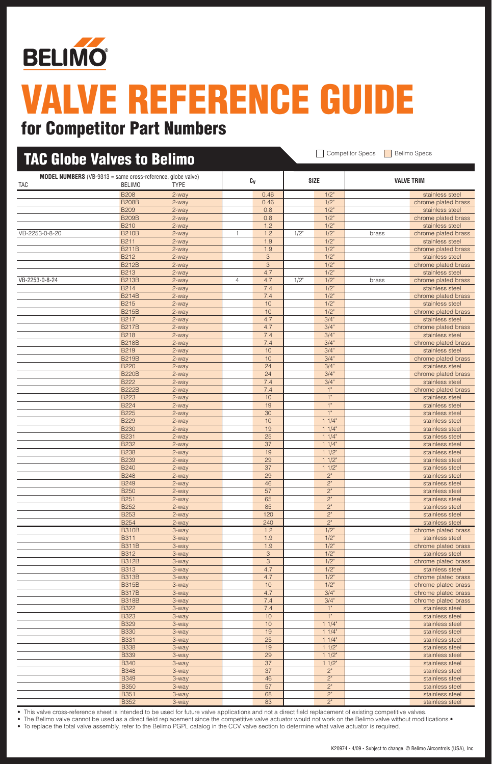

### for Competitor Part Numbers

| <b>TAC Globe Valves to Belimo</b> |                                                                                     |                  |                |                 |         |                        |       |                                        |
|-----------------------------------|-------------------------------------------------------------------------------------|------------------|----------------|-----------------|---------|------------------------|-------|----------------------------------------|
| <b>TAC</b>                        | <b>MODEL NUMBERS</b> (VB-9313 = same cross-reference, globe valve)<br><b>BELIMO</b> | <b>TYPE</b>      |                | Cv              |         | <b>SIZE</b>            |       | <b>VALVE TRIM</b>                      |
|                                   | <b>B208</b>                                                                         | 2-way            |                | 0.46            |         | $1/2$ "                |       | stainless steel                        |
|                                   | <b>B208B</b>                                                                        | 2-way            |                | 0.46            |         | $1/2$ "                |       | chrome plated brass                    |
|                                   | <b>B209</b>                                                                         | 2-way            |                | 0.8             |         | $1/2$ "                |       | stainless steel                        |
|                                   | <b>B209B</b>                                                                        | 2-way            |                | 0.8             |         | $1/2$ "                |       | chrome plated brass                    |
| VB-2253-0-8-20                    | <b>B210</b><br><b>B210B</b>                                                         | 2-way<br>$2-way$ | 1              | 1.2<br>1.2      | $1/2$ " | $1/2$ "<br>$1/2$ "     | brass | stainless steel                        |
|                                   | <b>B211</b>                                                                         | 2-way            |                | 1.9             |         | $1/2$ "                |       | chrome plated brass<br>stainless steel |
|                                   | <b>B211B</b>                                                                        | 2-way            |                | 1.9             |         | $1/2$ "                |       | chrome plated brass                    |
|                                   | <b>B212</b>                                                                         | 2-way            |                | 3               |         | $1/2$ "                |       | stainless steel                        |
|                                   | <b>B212B</b>                                                                        | 2-way            |                | 3               |         | $1/2$ "                |       | chrome plated brass                    |
|                                   | B213                                                                                | 2-way            |                | 4.7             |         | 1/2"                   |       | stainless steel                        |
| VB-2253-0-8-24                    | <b>B213B</b>                                                                        | 2-way            | $\overline{4}$ | 4.7             | $1/2$ " | $1/2$ "                | brass | chrome plated brass                    |
|                                   | <b>B214</b>                                                                         | 2-way            |                | 7.4             |         | $1/2$ "                |       | stainless steel                        |
|                                   | <b>B214B</b>                                                                        | 2-way            |                | 7.4             |         | $1/2$ "                |       | chrome plated brass                    |
|                                   | <b>B215</b><br><b>B215B</b>                                                         | 2-way            |                | 10<br>10        |         | $1/2$ "<br>$1/2$ "     |       | stainless steel                        |
|                                   | <b>B217</b>                                                                         | 2-way<br>2-way   |                | 4.7             |         | 3/4"                   |       | chrome plated brass<br>stainless steel |
|                                   | <b>B217B</b>                                                                        | 2-way            |                | 4.7             |         | 3/4"                   |       | chrome plated brass                    |
|                                   | <b>B218</b>                                                                         | 2-way            |                | 7.4             |         | 3/4"                   |       | stainless steel                        |
|                                   | <b>B218B</b>                                                                        | 2-way            |                | 7.4             |         | 3/4"                   |       | chrome plated brass                    |
|                                   | B219                                                                                | 2-way            |                | 10              |         | 3/4"                   |       | stainless steel                        |
|                                   | <b>B219B</b>                                                                        | 2-way            |                | 10              |         | 3/4"                   |       | chrome plated brass                    |
|                                   | <b>B220</b>                                                                         | 2-way            |                | 24              |         | 3/4"                   |       | stainless steel                        |
|                                   | <b>B220B</b>                                                                        | 2-way            |                | 24              |         | 3/4"                   |       | chrome plated brass                    |
|                                   | B222<br><b>B222B</b>                                                                | 2-way<br>2-way   |                | 7.4<br>7.4      |         | 3/4"<br>1"             |       | stainless steel                        |
|                                   | <b>B223</b>                                                                         | 2-way            |                | 10              |         | $1"$                   |       | chrome plated brass<br>stainless steel |
|                                   | <b>B224</b>                                                                         | 2-way            |                | 19              |         | 1"                     |       | stainless steel                        |
|                                   | <b>B225</b>                                                                         | 2-way            |                | 30              |         | 1"                     |       | stainless steel                        |
|                                   | <b>B229</b>                                                                         | 2-way            |                | 10              |         | 11/4"                  |       | stainless steel                        |
|                                   | <b>B230</b>                                                                         | 2-way            |                | 19              |         | 11/4"                  |       | stainless steel                        |
|                                   | <b>B231</b>                                                                         | 2-way            |                | 25              |         | 11/4"                  |       | stainless steel                        |
|                                   | <b>B232</b>                                                                         | 2-way            |                | 37              |         | 11/4"                  |       | stainless steel                        |
|                                   | <b>B238</b>                                                                         | 2-way            |                | 19              |         | 11/2"                  |       | stainless steel                        |
|                                   | <b>B239</b><br><b>B240</b>                                                          | 2-way<br>2-way   |                | 29<br>37        |         | $11/2$ "<br>$11/2$ "   |       | stainless steel<br>stainless steel     |
|                                   | <b>B248</b>                                                                         | 2-way            |                | 29              |         | 2"                     |       | stainless steel                        |
|                                   | <b>B249</b>                                                                         | 2-way            |                | 46              |         | 2"                     |       | stainless steel                        |
|                                   | <b>B250</b>                                                                         | 2-way            |                | 57              |         | 2"                     |       | stainless steel                        |
|                                   | <b>B251</b>                                                                         | 2-way            |                | 65              |         | 2"                     |       | stainless steel                        |
|                                   | <b>B252</b>                                                                         | 2-way            |                | 85              |         | 2 <sup>n</sup>         |       | stainless steel                        |
|                                   | <b>B253</b>                                                                         | 2-way            |                | 120             |         | $2"$                   |       | stainless steel                        |
|                                   | <b>B254</b>                                                                         | 2-way            |                | 240             |         | $2"$                   |       | stainless steel                        |
|                                   | <b>B310B</b><br><b>B311</b>                                                         | 3-way            |                | 1.2<br>1.9      |         | $1/2$ "<br>$1/2$ "     |       | chrome plated brass<br>stainless steel |
|                                   | <b>B311B</b>                                                                        | 3-way<br>3-way   |                | 1.9             |         | $1/2$ "                |       | chrome plated brass                    |
|                                   | <b>B312</b>                                                                         | 3-way            |                | $\mathbf{3}$    |         | $1/2$ "                |       | stainless steel                        |
|                                   | <b>B312B</b>                                                                        | 3-way            |                | $\mathfrak{S}$  |         | $1/2$ "                |       | chrome plated brass                    |
|                                   | <b>B313</b>                                                                         | 3-way            |                | 4.7             |         | $1/2$ "                |       | stainless steel                        |
|                                   | <b>B313B</b>                                                                        | 3-way            |                | 4.7             |         | 1/2"                   |       | chrome plated brass                    |
|                                   | <b>B315B</b>                                                                        | 3-way            |                | 10              |         | $1/2$ "                |       | chrome plated brass                    |
|                                   | <b>B317B</b>                                                                        | 3-way            |                | 4.7             |         | 3/4"                   |       | chrome plated brass                    |
|                                   | <b>B318B</b>                                                                        | 3-way            |                | 7.4             |         | 3/4"                   |       | chrome plated brass                    |
|                                   | <b>B322</b>                                                                         | 3-way            |                | 7.4<br>10       |         | $1"$<br>1"             |       | stainless steel                        |
|                                   | <b>B323</b><br><b>B329</b>                                                          | 3-way<br>3-way   |                | 10              |         | 11/4"                  |       | stainless steel<br>stainless steel     |
|                                   | <b>B330</b>                                                                         | 3-way            |                | 19              |         | 11/4"                  |       | stainless steel                        |
|                                   | <b>B331</b>                                                                         | 3-way            |                | $\overline{25}$ |         | 11/4"                  |       | stainless steel                        |
|                                   | <b>B338</b>                                                                         | 3-way            |                | 19              |         | 11/2                   |       | stainless steel                        |
|                                   | <b>B339</b>                                                                         | 3-way            |                | 29              |         | $11/2$ "               |       | stainless steel                        |
|                                   | <b>B340</b>                                                                         | 3-way            |                | 37              |         | 11/2"                  |       | stainless steel                        |
|                                   | <b>B348</b>                                                                         | 3-way            |                | $\overline{37}$ |         | 2"                     |       | stainless steel                        |
|                                   | <b>B349</b>                                                                         | 3-way            |                | 46              |         | 2"                     |       | stainless steel                        |
|                                   | <b>B350</b>                                                                         | 3-way            |                | 57              |         | 2"                     |       | stainless steel                        |
|                                   | <b>B351</b><br><b>B352</b>                                                          | 3-way<br>3-way   |                | 68<br>83        |         | $2"$<br>2 <sup>n</sup> |       | stainless steel<br>stainless steel     |
|                                   |                                                                                     |                  |                |                 |         |                        |       |                                        |

• This valve cross-reference sheet is intended to be used for future valve applications and not a direct field replacement of existing competitive valves.

• The Belimo valve cannot be used as a direct field replacement since the competitive valve actuator would not work on the Belimo valve without modifications.